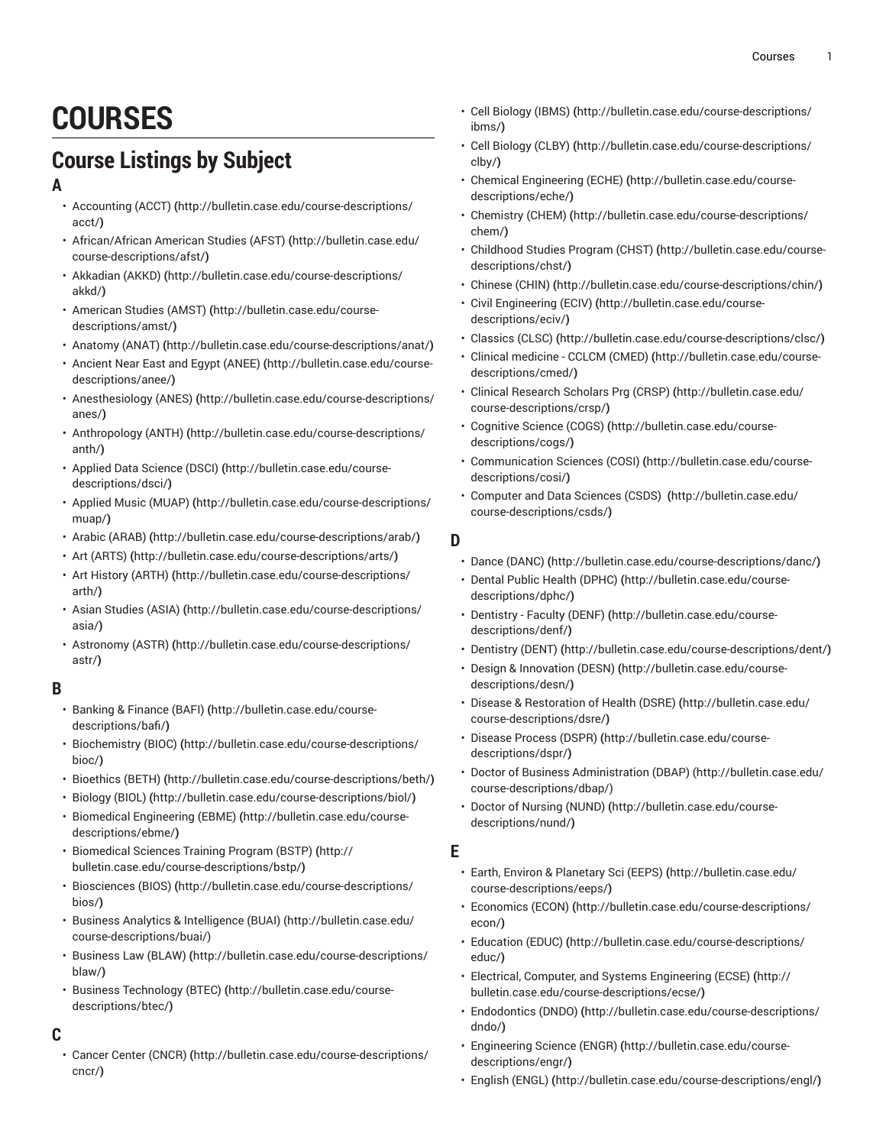# **COURSES**

# **Course Listings by Subject**

### **A**

- [Accounting](http://bulletin.case.edu/course-descriptions/acct/) (ACCT) **(**[http://bulletin.case.edu/course-descriptions/](http://bulletin.case.edu/course-descriptions/acct/) [acct/](http://bulletin.case.edu/course-descriptions/acct/)**)**
- [African/African American Studies \(AFST\)](http://bulletin.case.edu/course-descriptions/afst/) **(**[http://bulletin.case.edu/](http://bulletin.case.edu/course-descriptions/afst/) [course-descriptions/afst/](http://bulletin.case.edu/course-descriptions/afst/)**)**
- [Akkadian \(AKKD\)](http://bulletin.case.edu/course-descriptions/akkd/) **(**[http://bulletin.case.edu/course-descriptions/](http://bulletin.case.edu/course-descriptions/akkd/) [akkd/](http://bulletin.case.edu/course-descriptions/akkd/)**)**
- [American Studies \(AMST\)](http://bulletin.case.edu/course-descriptions/amst/) **(**[http://bulletin.case.edu/course](http://bulletin.case.edu/course-descriptions/amst/)[descriptions/amst/](http://bulletin.case.edu/course-descriptions/amst/)**)**
- [Anatomy](http://bulletin.case.edu/course-descriptions/anat/) (ANAT) **(**<http://bulletin.case.edu/course-descriptions/anat/>**)**
- [Ancient](http://bulletin.case.edu/course-descriptions/anee/) Near East and Egypt (ANEE) **(**[http://bulletin.case.edu/course](http://bulletin.case.edu/course-descriptions/anee/)[descriptions/anee/](http://bulletin.case.edu/course-descriptions/anee/)**)**
- [Anesthesiology \(ANES\)](http://bulletin.case.edu/course-descriptions/anes/) **(**[http://bulletin.case.edu/course-descriptions/](http://bulletin.case.edu/course-descriptions/anes/) [anes/](http://bulletin.case.edu/course-descriptions/anes/)**)**
- [Anthropology](http://bulletin.case.edu/course-descriptions/anth/) (ANTH) **(**[http://bulletin.case.edu/course-descriptions/](http://bulletin.case.edu/course-descriptions/anth/) [anth/](http://bulletin.case.edu/course-descriptions/anth/)**)**
- [Applied Data Science \(DSCI\)](http://bulletin.case.edu/course-descriptions/dsci/) **(**[http://bulletin.case.edu/course](http://bulletin.case.edu/course-descriptions/dsci/)[descriptions/dsci/](http://bulletin.case.edu/course-descriptions/dsci/)**)**
- Applied Music [\(MUAP\)](http://bulletin.case.edu/course-descriptions/muap/) **(**[http://bulletin.case.edu/course-descriptions/](http://bulletin.case.edu/course-descriptions/muap/) [muap/](http://bulletin.case.edu/course-descriptions/muap/)**)**
- [Arabic \(ARAB\)](http://bulletin.case.edu/course-descriptions/arab/) **(**<http://bulletin.case.edu/course-descriptions/arab/>**)**
- Art [\(ARTS\)](http://bulletin.case.edu/course-descriptions/arts/) **(**<http://bulletin.case.edu/course-descriptions/arts/>**)**
- Art [History](http://bulletin.case.edu/course-descriptions/arth/) (ARTH) **(**[http://bulletin.case.edu/course-descriptions/](http://bulletin.case.edu/course-descriptions/arth/) [arth/](http://bulletin.case.edu/course-descriptions/arth/)**)**
- Asian [Studies](http://bulletin.case.edu/course-descriptions/asia/) (ASIA) **(**[http://bulletin.case.edu/course-descriptions/](http://bulletin.case.edu/course-descriptions/asia/) [asia/](http://bulletin.case.edu/course-descriptions/asia/)**)**
- [Astronomy](http://bulletin.case.edu/course-descriptions/astr/) (ASTR) **(**[http://bulletin.case.edu/course-descriptions/](http://bulletin.case.edu/course-descriptions/astr/) [astr/](http://bulletin.case.edu/course-descriptions/astr/)**)**

#### **B**

- [Banking & Finance \(BAFI\)](http://bulletin.case.edu/course-descriptions/bafi/) **(**[http://bulletin.case.edu/course](http://bulletin.case.edu/course-descriptions/bafi/)[descriptions/bafi/](http://bulletin.case.edu/course-descriptions/bafi/)**)**
- [Biochemistry](http://bulletin.case.edu/course-descriptions/bioc/) (BIOC) **(**[http://bulletin.case.edu/course-descriptions/](http://bulletin.case.edu/course-descriptions/bioc/) [bioc/](http://bulletin.case.edu/course-descriptions/bioc/)**)**
- [Bioethics](http://bulletin.case.edu/course-descriptions/beth/) (BETH) **(**<http://bulletin.case.edu/course-descriptions/beth/>**)**
- [Biology \(BIOL\)](http://bulletin.case.edu/course-descriptions/biol/) **(**<http://bulletin.case.edu/course-descriptions/biol/>**)**
- [Biomedical Engineering \(EBME\)](http://bulletin.case.edu/course-descriptions/ebme/) **(**[http://bulletin.case.edu/course](http://bulletin.case.edu/course-descriptions/ebme/)[descriptions/ebme/](http://bulletin.case.edu/course-descriptions/ebme/)**)**
- [Biomedical](http://bulletin.case.edu/course-descriptions/bstp/) Sciences Training Program (BSTP) **(**[http://](http://bulletin.case.edu/course-descriptions/bstp/) [bulletin.case.edu/course-descriptions/bstp/](http://bulletin.case.edu/course-descriptions/bstp/)**)**
- [Biosciences \(BIOS\)](http://bulletin.case.edu/course-descriptions/bios/) **(**[http://bulletin.case.edu/course-descriptions/](http://bulletin.case.edu/course-descriptions/bios/) [bios/](http://bulletin.case.edu/course-descriptions/bios/)**)**
- Business Analytics & [Intelligence](http://bulletin.case.edu/course-descriptions/buai/) (BUAI) ([http://bulletin.case.edu/](http://bulletin.case.edu/course-descriptions/buai/) [course-descriptions/buai/](http://bulletin.case.edu/course-descriptions/buai/))
- [Business](http://bulletin.case.edu/course-descriptions/blaw/) Law (BLAW) **(**[http://bulletin.case.edu/course-descriptions/](http://bulletin.case.edu/course-descriptions/blaw/) [blaw/](http://bulletin.case.edu/course-descriptions/blaw/)**)**
- Business [Technology](http://bulletin.case.edu/course-descriptions/btec/) (BTEC) **(**[http://bulletin.case.edu/course](http://bulletin.case.edu/course-descriptions/btec/)[descriptions/btec/](http://bulletin.case.edu/course-descriptions/btec/)**)**

# **C**

• [Cancer Center \(CNCR\)](http://bulletin.case.edu/course-descriptions/cncr/) **(**[http://bulletin.case.edu/course-descriptions/](http://bulletin.case.edu/course-descriptions/cncr/) [cncr/](http://bulletin.case.edu/course-descriptions/cncr/)**)**

- [Cell Biology \(IBMS\)](http://bulletin.case.edu/course-descriptions/ibms/) **(**[http://bulletin.case.edu/course-descriptions/](http://bulletin.case.edu/course-descriptions/ibms/) [ibms/](http://bulletin.case.edu/course-descriptions/ibms/)**)**
- Cell [Biology](http://bulletin.case.edu/course-descriptions/clby/) (CLBY) **(**[http://bulletin.case.edu/course-descriptions/](http://bulletin.case.edu/course-descriptions/clby/) [clby/](http://bulletin.case.edu/course-descriptions/clby/)**)**
- [Chemical Engineering \(ECHE\)](http://bulletin.case.edu/course-descriptions/eche/) **(**[http://bulletin.case.edu/course](http://bulletin.case.edu/course-descriptions/eche/)[descriptions/eche/](http://bulletin.case.edu/course-descriptions/eche/)**)**
- [Chemistry](http://bulletin.case.edu/course-descriptions/chem/) (CHEM) **(**[http://bulletin.case.edu/course-descriptions/](http://bulletin.case.edu/course-descriptions/chem/) [chem/](http://bulletin.case.edu/course-descriptions/chem/)**)**
- [Childhood](http://bulletin.case.edu/course-descriptions/chst/) Studies Program (CHST) **(**[http://bulletin.case.edu/course](http://bulletin.case.edu/course-descriptions/chst/)[descriptions/chst/](http://bulletin.case.edu/course-descriptions/chst/)**)**
- [Chinese \(CHIN\)](http://bulletin.case.edu/course-descriptions/chin/) **(**<http://bulletin.case.edu/course-descriptions/chin/>**)**
- Civil [Engineering](http://bulletin.case.edu/course-descriptions/eciv/) (ECIV) **(**[http://bulletin.case.edu/course](http://bulletin.case.edu/course-descriptions/eciv/)[descriptions/eciv/](http://bulletin.case.edu/course-descriptions/eciv/)**)**
- [Classics](http://bulletin.case.edu/course-descriptions/clsc/) (CLSC) **(**<http://bulletin.case.edu/course-descriptions/clsc/>**)**
- Clinical [medicine](http://bulletin.case.edu/course-descriptions/cmed/) CCLCM (CMED) **(**[http://bulletin.case.edu/course](http://bulletin.case.edu/course-descriptions/cmed/)[descriptions/cmed/](http://bulletin.case.edu/course-descriptions/cmed/)**)**
- Clinical [Research](http://bulletin.case.edu/course-descriptions/crsp/) Scholars Prg (CRSP) **(**[http://bulletin.case.edu/](http://bulletin.case.edu/course-descriptions/crsp/) [course-descriptions/crsp/](http://bulletin.case.edu/course-descriptions/crsp/)**)**
- [Cognitive](http://bulletin.case.edu/course-descriptions/cogs/) Science (COGS) **(**[http://bulletin.case.edu/course](http://bulletin.case.edu/course-descriptions/cogs/)[descriptions/cogs/](http://bulletin.case.edu/course-descriptions/cogs/)**)**
- [Communication Sciences \(COSI\)](http://bulletin.case.edu/course-descriptions/cosi/) **(**[http://bulletin.case.edu/course](http://bulletin.case.edu/course-descriptions/cosi/)[descriptions/cosi/](http://bulletin.case.edu/course-descriptions/cosi/)**)**
- [Computer and Data Sciences \(CSDS\)](http://bulletin.case.edu/course-descriptions/csds/)  **(**[http://bulletin.case.edu/](http://bulletin.case.edu/course-descriptions/csds/) [course-descriptions/csds/](http://bulletin.case.edu/course-descriptions/csds/)**)**

#### **D**

- Dance [\(DANC\)](http://bulletin.case.edu/course-descriptions/danc/) **(**<http://bulletin.case.edu/course-descriptions/danc/>**)**
- Dental Public Health [\(DPHC\)](http://bulletin.case.edu/course-descriptions/dphc/) **(**[http://bulletin.case.edu/course](http://bulletin.case.edu/course-descriptions/dphc/)[descriptions/dphc/](http://bulletin.case.edu/course-descriptions/dphc/)**)**
- [Dentistry](http://bulletin.case.edu/course-descriptions/denf/) Faculty (DENF) **(**[http://bulletin.case.edu/course](http://bulletin.case.edu/course-descriptions/denf/)[descriptions/denf/](http://bulletin.case.edu/course-descriptions/denf/)**)**
- [Dentistry](http://bulletin.case.edu/course-descriptions/dent/) (DENT) **(**<http://bulletin.case.edu/course-descriptions/dent/>**)**
- Design & [Innovation](http://bulletin.case.edu/course-descriptions/desn/) (DESN) **(**[http://bulletin.case.edu/course](http://bulletin.case.edu/course-descriptions/desn/)[descriptions/desn/](http://bulletin.case.edu/course-descriptions/desn/)**)**
- [Disease & Restoration of Health \(DSRE\)](http://bulletin.case.edu/course-descriptions/dsre/) **(**[http://bulletin.case.edu/](http://bulletin.case.edu/course-descriptions/dsre/) [course-descriptions/dsre/](http://bulletin.case.edu/course-descriptions/dsre/)**)**
- Disease [Process](http://bulletin.case.edu/course-descriptions/dspr/) (DSPR) **(**[http://bulletin.case.edu/course](http://bulletin.case.edu/course-descriptions/dspr/)[descriptions/dspr/](http://bulletin.case.edu/course-descriptions/dspr/)**)**
- [Doctor of Business Administration \(DBAP\)](http://bulletin.case.edu/course-descriptions/dbap/) ([http://bulletin.case.edu/](http://bulletin.case.edu/course-descriptions/dbap/) [course-descriptions/dbap/](http://bulletin.case.edu/course-descriptions/dbap/))
- [Doctor of Nursing \(NUND\)](http://bulletin.case.edu/course-descriptions/nund/) **(**[http://bulletin.case.edu/course](http://bulletin.case.edu/course-descriptions/nund/)[descriptions/nund/](http://bulletin.case.edu/course-descriptions/nund/)**)**

# **E**

- Earth, Environ & [Planetary](http://bulletin.case.edu/course-descriptions/eeps/) Sci (EEPS) **(**[http://bulletin.case.edu/](http://bulletin.case.edu/course-descriptions/eeps/) [course-descriptions/eeps/](http://bulletin.case.edu/course-descriptions/eeps/)**)**
- [Economics](http://bulletin.case.edu/course-descriptions/econ/) (ECON) **(**[http://bulletin.case.edu/course-descriptions/](http://bulletin.case.edu/course-descriptions/econ/) [econ/](http://bulletin.case.edu/course-descriptions/econ/)**)**
- [Education](http://bulletin.case.edu/course-descriptions/educ/) (EDUC) **(**[http://bulletin.case.edu/course-descriptions/](http://bulletin.case.edu/course-descriptions/educ/) [educ/](http://bulletin.case.edu/course-descriptions/educ/)**)**
- Electrical, Computer, and Systems [Engineering](http://bulletin.case.edu/course-descriptions/ecse/) (ECSE) **(**[http://](http://bulletin.case.edu/course-descriptions/ecse/) [bulletin.case.edu/course-descriptions/ecse/](http://bulletin.case.edu/course-descriptions/ecse/)**)**
- [Endodontics \(DNDO\)](http://bulletin.case.edu/course-descriptions/dndo/) **(**[http://bulletin.case.edu/course-descriptions/](http://bulletin.case.edu/course-descriptions/dndo/) [dndo/](http://bulletin.case.edu/course-descriptions/dndo/)**)**
- [Engineering Science \(ENGR\)](http://bulletin.case.edu/course-descriptions/engr/) **(**[http://bulletin.case.edu/course](http://bulletin.case.edu/course-descriptions/engr/)[descriptions/engr/](http://bulletin.case.edu/course-descriptions/engr/)**)**
- [English \(ENGL\)](http://bulletin.case.edu/course-descriptions/engl/) **(**<http://bulletin.case.edu/course-descriptions/engl/>**)**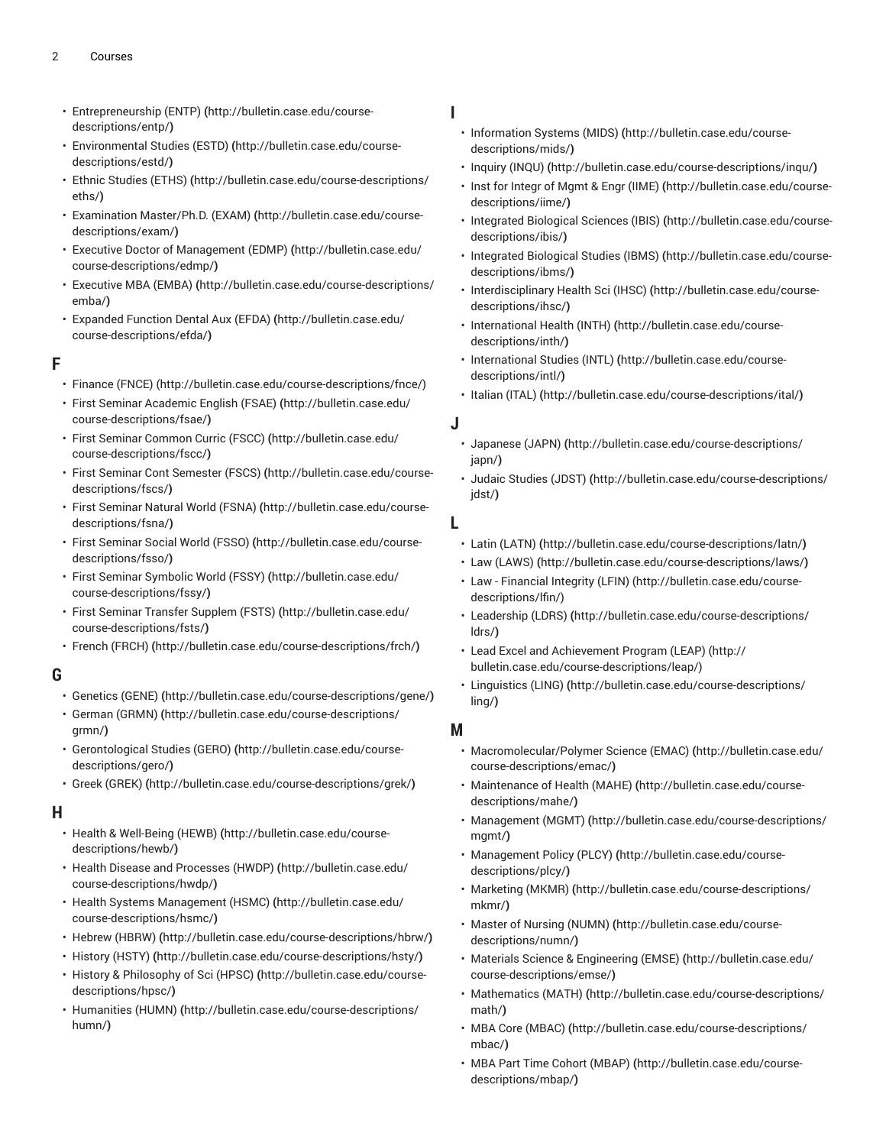- [Entrepreneurship](http://bulletin.case.edu/course-descriptions/entp/) (ENTP) **(**[http://bulletin.case.edu/course](http://bulletin.case.edu/course-descriptions/entp/)[descriptions/entp/](http://bulletin.case.edu/course-descriptions/entp/)**)**
- [Environmental](http://bulletin.case.edu/course-descriptions/estd/) Studies (ESTD) **(**[http://bulletin.case.edu/course](http://bulletin.case.edu/course-descriptions/estd/)[descriptions/estd/](http://bulletin.case.edu/course-descriptions/estd/)**)**
- Ethnic [Studies](http://bulletin.case.edu/course-descriptions/eths/) (ETHS) **(**[http://bulletin.case.edu/course-descriptions/](http://bulletin.case.edu/course-descriptions/eths/) [eths/](http://bulletin.case.edu/course-descriptions/eths/)**)**
- Examination [Master/Ph.D.](http://bulletin.case.edu/course-descriptions/exam/) (EXAM) **(**[http://bulletin.case.edu/course](http://bulletin.case.edu/course-descriptions/exam/)[descriptions/exam/](http://bulletin.case.edu/course-descriptions/exam/)**)**
- Executive Doctor of [Management](http://bulletin.case.edu/course-descriptions/edmp/) (EDMP) **(**[http://bulletin.case.edu/](http://bulletin.case.edu/course-descriptions/edmp/) [course-descriptions/edmp/](http://bulletin.case.edu/course-descriptions/edmp/)**)**
- [Executive](http://bulletin.case.edu/course-descriptions/emba/) MBA (EMBA) **(**[http://bulletin.case.edu/course-descriptions/](http://bulletin.case.edu/course-descriptions/emba/) [emba/](http://bulletin.case.edu/course-descriptions/emba/)**)**
- [Expanded](http://bulletin.case.edu/course-descriptions/efda/) Function Dental Aux (EFDA) **(**[http://bulletin.case.edu/](http://bulletin.case.edu/course-descriptions/efda/) [course-descriptions/efda/](http://bulletin.case.edu/course-descriptions/efda/)**)**

#### **F**

- [Finance \(FNCE\)](http://bulletin.case.edu/course-descriptions/fnce/) (<http://bulletin.case.edu/course-descriptions/fnce/>)
- [First Seminar Academic English \(FSAE\)](http://bulletin.case.edu/course-descriptions/fsae/) **(**[http://bulletin.case.edu/](http://bulletin.case.edu/course-descriptions/fsae/) [course-descriptions/fsae/](http://bulletin.case.edu/course-descriptions/fsae/)**)**
- First Seminar [Common](http://bulletin.case.edu/course-descriptions/fscc/) Curric (FSCC) **(**[http://bulletin.case.edu/](http://bulletin.case.edu/course-descriptions/fscc/) [course-descriptions/fscc/](http://bulletin.case.edu/course-descriptions/fscc/)**)**
- [First Seminar Cont Semester \(FSCS\)](http://bulletin.case.edu/course-descriptions/fscs/) **(**[http://bulletin.case.edu/course](http://bulletin.case.edu/course-descriptions/fscs/)[descriptions/fscs/](http://bulletin.case.edu/course-descriptions/fscs/)**)**
- First [Seminar](http://bulletin.case.edu/course-descriptions/fsna/) Natural World (FSNA) **(**[http://bulletin.case.edu/course](http://bulletin.case.edu/course-descriptions/fsna/)[descriptions/fsna/](http://bulletin.case.edu/course-descriptions/fsna/)**)**
- First [Seminar](http://bulletin.case.edu/course-descriptions/fsso/) Social World (FSSO) **(**[http://bulletin.case.edu/course](http://bulletin.case.edu/course-descriptions/fsso/)[descriptions/fsso/](http://bulletin.case.edu/course-descriptions/fsso/)**)**
- First Seminar [Symbolic](http://bulletin.case.edu/course-descriptions/fssy/) World (FSSY) **(**[http://bulletin.case.edu/](http://bulletin.case.edu/course-descriptions/fssy/) [course-descriptions/fssy/](http://bulletin.case.edu/course-descriptions/fssy/)**)**
- First Seminar Transfer [Supplem](http://bulletin.case.edu/course-descriptions/fsts/) (FSTS) **(**[http://bulletin.case.edu/](http://bulletin.case.edu/course-descriptions/fsts/) [course-descriptions/fsts/](http://bulletin.case.edu/course-descriptions/fsts/)**)**
- French [\(FRCH\)](http://bulletin.case.edu/course-descriptions/frch/) **(**<http://bulletin.case.edu/course-descriptions/frch/>**)**

#### **G**

- [Genetics \(GENE\)](http://bulletin.case.edu/course-descriptions/gene/) **(**<http://bulletin.case.edu/course-descriptions/gene/>**)**
- [German \(GRMN\)](http://bulletin.case.edu/course-descriptions/grmn/) **(**[http://bulletin.case.edu/course-descriptions/](http://bulletin.case.edu/course-descriptions/grmn/) [grmn/](http://bulletin.case.edu/course-descriptions/grmn/)**)**
- [Gerontological](http://bulletin.case.edu/course-descriptions/gero/) Studies (GERO) **(**[http://bulletin.case.edu/course](http://bulletin.case.edu/course-descriptions/gero/)[descriptions/gero/](http://bulletin.case.edu/course-descriptions/gero/)**)**
- Greek [\(GREK\)](http://bulletin.case.edu/course-descriptions/grek/) **(**<http://bulletin.case.edu/course-descriptions/grek/>**)**

#### **H**

- Health & [Well-Being](http://bulletin.case.edu/course-descriptions/hewb/) (HEWB) **(**[http://bulletin.case.edu/course](http://bulletin.case.edu/course-descriptions/hewb/)[descriptions/hewb/](http://bulletin.case.edu/course-descriptions/hewb/)**)**
- Health Disease and [Processes](http://bulletin.case.edu/course-descriptions/hwdp/) (HWDP) **(**[http://bulletin.case.edu/](http://bulletin.case.edu/course-descriptions/hwdp/) [course-descriptions/hwdp/](http://bulletin.case.edu/course-descriptions/hwdp/)**)**
- Health Systems [Management](http://bulletin.case.edu/course-descriptions/hsmc/) (HSMC) **(**[http://bulletin.case.edu/](http://bulletin.case.edu/course-descriptions/hsmc/) [course-descriptions/hsmc/](http://bulletin.case.edu/course-descriptions/hsmc/)**)**
- Hebrew [\(HBRW\)](http://bulletin.case.edu/course-descriptions/hbrw/) **(**<http://bulletin.case.edu/course-descriptions/hbrw/>**)**
- [History](http://bulletin.case.edu/course-descriptions/hsty/) (HSTY) **(**<http://bulletin.case.edu/course-descriptions/hsty/>**)**
- History & [Philosophy](http://bulletin.case.edu/course-descriptions/hpsc/) of Sci (HPSC) **(**[http://bulletin.case.edu/course](http://bulletin.case.edu/course-descriptions/hpsc/)[descriptions/hpsc/](http://bulletin.case.edu/course-descriptions/hpsc/)**)**
- [Humanities \(HUMN\)](http://bulletin.case.edu/course-descriptions/humn/) **(**[http://bulletin.case.edu/course-descriptions/](http://bulletin.case.edu/course-descriptions/humn/) [humn/](http://bulletin.case.edu/course-descriptions/humn/)**)**

#### **I**

- [Information Systems \(MIDS\)](http://bulletin.case.edu/course-descriptions/mids/) **(**[http://bulletin.case.edu/course](http://bulletin.case.edu/course-descriptions/mids/)[descriptions/mids/](http://bulletin.case.edu/course-descriptions/mids/)**)**
- [Inquiry](http://bulletin.case.edu/course-descriptions/inqu/) (INQU) **(**<http://bulletin.case.edu/course-descriptions/inqu/>**)**
- [Inst for Integr of Mgmt & Engr \(IIME\)](http://bulletin.case.edu/course-descriptions/iime/) **(**[http://bulletin.case.edu/course](http://bulletin.case.edu/course-descriptions/iime/)[descriptions/iime/](http://bulletin.case.edu/course-descriptions/iime/)**)**
- [Integrated Biological Sciences \(IBIS\)](http://bulletin.case.edu/course-descriptions/ibis/) **(**[http://bulletin.case.edu/course](http://bulletin.case.edu/course-descriptions/ibis/)[descriptions/ibis/](http://bulletin.case.edu/course-descriptions/ibis/)**)**
- [Integrated Biological Studies \(IBMS\)](http://bulletin.case.edu/course-descriptions/ibms/) **(**[http://bulletin.case.edu/course](http://bulletin.case.edu/course-descriptions/ibms/)[descriptions/ibms/](http://bulletin.case.edu/course-descriptions/ibms/)**)**
- [Interdisciplinary](http://bulletin.case.edu/course-descriptions/ihsc/) Health Sci (IHSC) **(**[http://bulletin.case.edu/course](http://bulletin.case.edu/course-descriptions/ihsc/)[descriptions/ihsc/](http://bulletin.case.edu/course-descriptions/ihsc/)**)**
- [International](http://bulletin.case.edu/course-descriptions/inth/) Health (INTH) **(**[http://bulletin.case.edu/course](http://bulletin.case.edu/course-descriptions/inth/)[descriptions/inth/](http://bulletin.case.edu/course-descriptions/inth/)**)**
- [International](http://bulletin.case.edu/course-descriptions/intl/) Studies (INTL) **(**[http://bulletin.case.edu/course](http://bulletin.case.edu/course-descriptions/intl/)[descriptions/intl/](http://bulletin.case.edu/course-descriptions/intl/)**)**
- [Italian](http://bulletin.case.edu/course-descriptions/ital/) (ITAL) **(**<http://bulletin.case.edu/course-descriptions/ital/>**)**

#### **J**

- [Japanese](http://bulletin.case.edu/course-descriptions/japn/) (JAPN) **(**[http://bulletin.case.edu/course-descriptions/](http://bulletin.case.edu/course-descriptions/japn/) [japn/](http://bulletin.case.edu/course-descriptions/japn/)**)**
- [Judaic Studies \(JDST\)](http://bulletin.case.edu/course-descriptions/jdst/) **(**[http://bulletin.case.edu/course-descriptions/](http://bulletin.case.edu/course-descriptions/jdst/) [jdst/](http://bulletin.case.edu/course-descriptions/jdst/)**)**

# **L**

- Latin [\(LATN\)](http://bulletin.case.edu/course-descriptions/latn/) **(**<http://bulletin.case.edu/course-descriptions/latn/>**)**
- Law [\(LAWS\)](http://bulletin.case.edu/course-descriptions/laws/) **(**<http://bulletin.case.edu/course-descriptions/laws/>**)**
- [Law Financial Integrity \(LFIN\)](http://bulletin.case.edu/course-descriptions/lfin/) ([http://bulletin.case.edu/course](http://bulletin.case.edu/course-descriptions/lfin/)[descriptions/lfin/\)](http://bulletin.case.edu/course-descriptions/lfin/)
- [Leadership \(LDRS\)](http://bulletin.case.edu/course-descriptions/ldrs/) **(**[http://bulletin.case.edu/course-descriptions/](http://bulletin.case.edu/course-descriptions/ldrs/) [ldrs/](http://bulletin.case.edu/course-descriptions/ldrs/)**)**
- Lead Excel and [Achievement](http://bulletin.case.edu/course-descriptions/leap/) Program (LEAP) [\(http://](http://bulletin.case.edu/course-descriptions/leap/) [bulletin.case.edu/course-descriptions/leap/\)](http://bulletin.case.edu/course-descriptions/leap/)
- [Linguistics \(LING\)](http://bulletin.case.edu/course-descriptions/ling/) **(**[http://bulletin.case.edu/course-descriptions/](http://bulletin.case.edu/course-descriptions/ling/) [ling/](http://bulletin.case.edu/course-descriptions/ling/)**)**

#### **M**

- [Macromolecular/Polymer](http://bulletin.case.edu/course-descriptions/emac/) Science (EMAC) **(**[http://bulletin.case.edu/](http://bulletin.case.edu/course-descriptions/emac/) [course-descriptions/emac/](http://bulletin.case.edu/course-descriptions/emac/)**)**
- [Maintenance](http://bulletin.case.edu/course-descriptions/mahe/) of Health (MAHE) **(**[http://bulletin.case.edu/course](http://bulletin.case.edu/course-descriptions/mahe/)[descriptions/mahe/](http://bulletin.case.edu/course-descriptions/mahe/)**)**
- [Management](http://bulletin.case.edu/course-descriptions/mgmt/) (MGMT) **(**[http://bulletin.case.edu/course-descriptions/](http://bulletin.case.edu/course-descriptions/mgmt/) [mgmt/](http://bulletin.case.edu/course-descriptions/mgmt/)**)**
- [Management](http://bulletin.case.edu/course-descriptions/plcy/) Policy (PLCY) **(**[http://bulletin.case.edu/course](http://bulletin.case.edu/course-descriptions/plcy/)[descriptions/plcy/](http://bulletin.case.edu/course-descriptions/plcy/)**)**
- [Marketing](http://bulletin.case.edu/course-descriptions/mkmr/) (MKMR) **(**[http://bulletin.case.edu/course-descriptions/](http://bulletin.case.edu/course-descriptions/mkmr/) [mkmr/](http://bulletin.case.edu/course-descriptions/mkmr/)**)**
- [Master of Nursing \(NUMN\)](http://bulletin.case.edu/course-descriptions/numn/) **(**[http://bulletin.case.edu/course](http://bulletin.case.edu/course-descriptions/numn/)[descriptions/numn/](http://bulletin.case.edu/course-descriptions/numn/)**)**
- [Materials Science & Engineering \(EMSE\)](http://bulletin.case.edu/course-descriptions/emse/) **(**[http://bulletin.case.edu/](http://bulletin.case.edu/course-descriptions/emse/) [course-descriptions/emse/](http://bulletin.case.edu/course-descriptions/emse/)**)**
- [Mathematics](http://bulletin.case.edu/course-descriptions/math/) (MATH) **(**[http://bulletin.case.edu/course-descriptions/](http://bulletin.case.edu/course-descriptions/math/) [math/](http://bulletin.case.edu/course-descriptions/math/)**)**
- MBA Core [\(MBAC\)](http://bulletin.case.edu/course-descriptions/mbac/) **(**[http://bulletin.case.edu/course-descriptions/](http://bulletin.case.edu/course-descriptions/mbac/) [mbac/](http://bulletin.case.edu/course-descriptions/mbac/)**)**
- MBA Part Time Cohort [\(MBAP\)](http://bulletin.case.edu/course-descriptions/mbap/) **(**[http://bulletin.case.edu/course](http://bulletin.case.edu/course-descriptions/mbap/)[descriptions/mbap/](http://bulletin.case.edu/course-descriptions/mbap/)**)**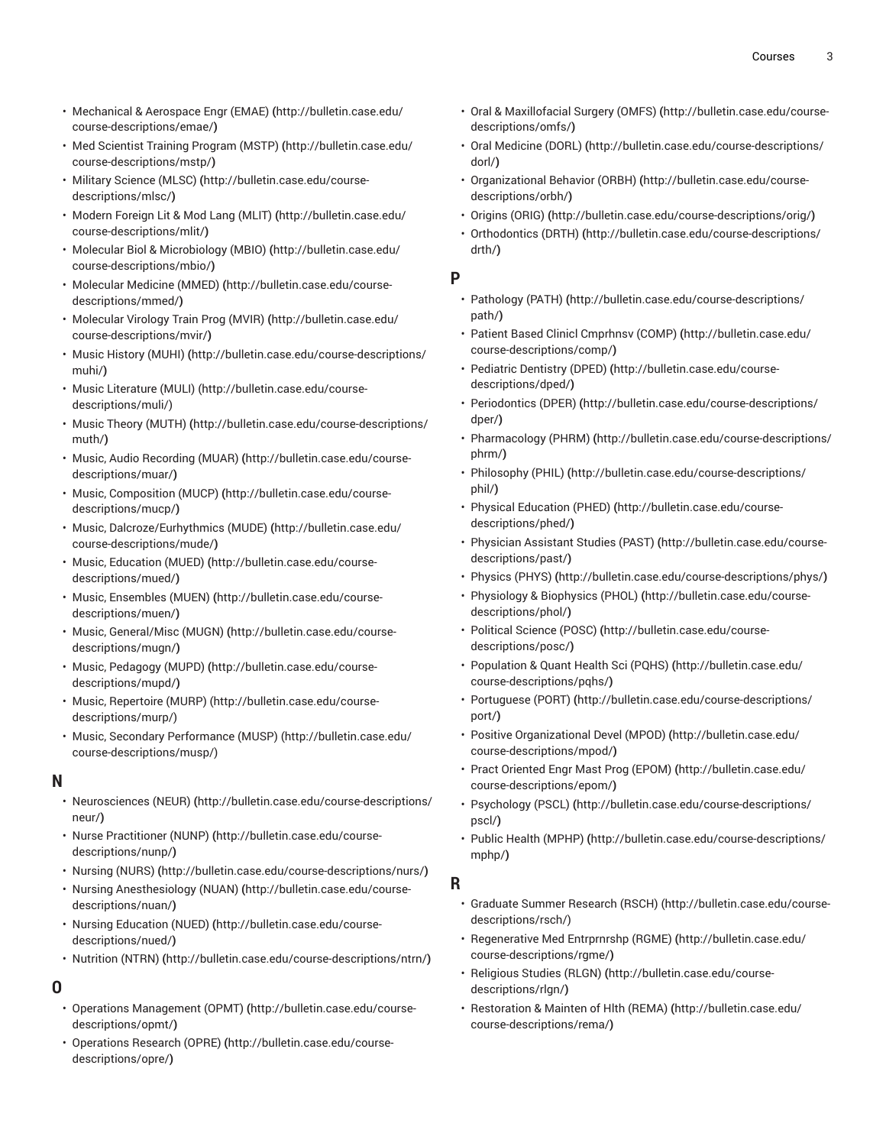- [Mechanical](http://bulletin.case.edu/course-descriptions/emae/) & Aerospace Engr (EMAE) **(**[http://bulletin.case.edu/](http://bulletin.case.edu/course-descriptions/emae/) [course-descriptions/emae/](http://bulletin.case.edu/course-descriptions/emae/)**)**
- Med [Scientist](http://bulletin.case.edu/course-descriptions/mstp/) Training Program (MSTP) **(**[http://bulletin.case.edu/](http://bulletin.case.edu/course-descriptions/mstp/) [course-descriptions/mstp/](http://bulletin.case.edu/course-descriptions/mstp/)**)**
- Military [Science](http://bulletin.case.edu/course-descriptions/mlsc/) (MLSC) **(**[http://bulletin.case.edu/course](http://bulletin.case.edu/course-descriptions/mlsc/)[descriptions/mlsc/](http://bulletin.case.edu/course-descriptions/mlsc/)**)**
- [Modern](http://bulletin.case.edu/course-descriptions/mlit/) Foreign Lit & Mod Lang (MLIT) **(**[http://bulletin.case.edu/](http://bulletin.case.edu/course-descriptions/mlit/) [course-descriptions/mlit/](http://bulletin.case.edu/course-descriptions/mlit/)**)**
- Molecular Biol & [Microbiology](http://bulletin.case.edu/course-descriptions/mbio/) (MBIO) **(**[http://bulletin.case.edu/](http://bulletin.case.edu/course-descriptions/mbio/) [course-descriptions/mbio/](http://bulletin.case.edu/course-descriptions/mbio/)**)**
- [Molecular Medicine \(MMED\)](http://bulletin.case.edu/course-descriptions/mmed/) **(**[http://bulletin.case.edu/course](http://bulletin.case.edu/course-descriptions/mmed/)[descriptions/mmed/](http://bulletin.case.edu/course-descriptions/mmed/)**)**
- [Molecular](http://bulletin.case.edu/course-descriptions/mvir/) Virology Train Prog (MVIR) **(**[http://bulletin.case.edu/](http://bulletin.case.edu/course-descriptions/mvir/) [course-descriptions/mvir/](http://bulletin.case.edu/course-descriptions/mvir/)**)**
- Music [History](http://bulletin.case.edu/course-descriptions/muhi/) (MUHI) **(**[http://bulletin.case.edu/course-descriptions/](http://bulletin.case.edu/course-descriptions/muhi/) [muhi/](http://bulletin.case.edu/course-descriptions/muhi/)**)**
- Music [Literature](http://bulletin.case.edu/course-descriptions/muli/) (MULI) ([http://bulletin.case.edu/course](http://bulletin.case.edu/course-descriptions/muli/)[descriptions/muli/\)](http://bulletin.case.edu/course-descriptions/muli/)
- Music Theory [\(MUTH\)](http://bulletin.case.edu/course-descriptions/muth/) **(**[http://bulletin.case.edu/course-descriptions/](http://bulletin.case.edu/course-descriptions/muth/) [muth/](http://bulletin.case.edu/course-descriptions/muth/)**)**
- Music, Audio [Recording](http://bulletin.case.edu/course-descriptions/muar/) (MUAR) **(**[http://bulletin.case.edu/course](http://bulletin.case.edu/course-descriptions/muar/)[descriptions/muar/](http://bulletin.case.edu/course-descriptions/muar/)**)**
- [Music, Composition \(MUCP\)](http://bulletin.case.edu/course-descriptions/mucp/) **(**[http://bulletin.case.edu/course](http://bulletin.case.edu/course-descriptions/mucp/)[descriptions/mucp/](http://bulletin.case.edu/course-descriptions/mucp/)**)**
- Music, [Dalcroze/Eurhythmics](http://bulletin.case.edu/course-descriptions/mude/) (MUDE) **(**[http://bulletin.case.edu/](http://bulletin.case.edu/course-descriptions/mude/) [course-descriptions/mude/](http://bulletin.case.edu/course-descriptions/mude/)**)**
- Music, [Education](http://bulletin.case.edu/course-descriptions/mued/) (MUED) **(**[http://bulletin.case.edu/course](http://bulletin.case.edu/course-descriptions/mued/)[descriptions/mued/](http://bulletin.case.edu/course-descriptions/mued/)**)**
- [Music, Ensembles \(MUEN\)](http://bulletin.case.edu/course-descriptions/muen/) **(**[http://bulletin.case.edu/course](http://bulletin.case.edu/course-descriptions/muen/)[descriptions/muen/](http://bulletin.case.edu/course-descriptions/muen/)**)**
- [Music, General/Misc \(MUGN\)](http://bulletin.case.edu/course-descriptions/mugn/) **(**[http://bulletin.case.edu/course](http://bulletin.case.edu/course-descriptions/mugn/)[descriptions/mugn/](http://bulletin.case.edu/course-descriptions/mugn/)**)**
- Music, [Pedagogy](http://bulletin.case.edu/course-descriptions/mupd/) (MUPD) **(**[http://bulletin.case.edu/course](http://bulletin.case.edu/course-descriptions/mupd/)[descriptions/mupd/](http://bulletin.case.edu/course-descriptions/mupd/)**)**
- Music, [Repertoire](http://bulletin.case.edu/course-descriptions/murp/) (MURP) ([http://bulletin.case.edu/course](http://bulletin.case.edu/course-descriptions/murp/)[descriptions/murp/\)](http://bulletin.case.edu/course-descriptions/murp/)
- Music, Secondary [Performance](http://bulletin.case.edu/course-descriptions/musp/) (MUSP) ([http://bulletin.case.edu/](http://bulletin.case.edu/course-descriptions/musp/) [course-descriptions/musp/](http://bulletin.case.edu/course-descriptions/musp/))

#### **N**

- [Neurosciences](http://bulletin.case.edu/course-descriptions/neur/) (NEUR) **(**[http://bulletin.case.edu/course-descriptions/](http://bulletin.case.edu/course-descriptions/neur/) [neur/](http://bulletin.case.edu/course-descriptions/neur/)**)**
- [Nurse Practitioner \(NUNP\)](http://bulletin.case.edu/course-descriptions/nunp/) **(**[http://bulletin.case.edu/course](http://bulletin.case.edu/course-descriptions/nunp/)[descriptions/nunp/](http://bulletin.case.edu/course-descriptions/nunp/)**)**
- [Nursing \(NURS\)](http://bulletin.case.edu/course-descriptions/nurs/) **(**<http://bulletin.case.edu/course-descriptions/nurs/>**)**
- Nursing [Anesthesiology](http://bulletin.case.edu/course-descriptions/nuan/) (NUAN) **(**[http://bulletin.case.edu/course](http://bulletin.case.edu/course-descriptions/nuan/)[descriptions/nuan/](http://bulletin.case.edu/course-descriptions/nuan/)**)**
- Nursing [Education](http://bulletin.case.edu/course-descriptions/nued/) (NUED) **(**[http://bulletin.case.edu/course](http://bulletin.case.edu/course-descriptions/nued/)[descriptions/nued/](http://bulletin.case.edu/course-descriptions/nued/)**)**
- [Nutrition](http://bulletin.case.edu/course-descriptions/ntrn/) (NTRN) **(**<http://bulletin.case.edu/course-descriptions/ntrn/>**)**

# **O**

- Operations [Management](http://bulletin.case.edu/course-descriptions/opmt/) (OPMT) **(**[http://bulletin.case.edu/course](http://bulletin.case.edu/course-descriptions/opmt/)[descriptions/opmt/](http://bulletin.case.edu/course-descriptions/opmt/)**)**
- [Operations](http://bulletin.case.edu/course-descriptions/opre/) Research (OPRE) **(**[http://bulletin.case.edu/course](http://bulletin.case.edu/course-descriptions/opre/)[descriptions/opre/](http://bulletin.case.edu/course-descriptions/opre/)**)**
- Oral & [Maxillofacial](http://bulletin.case.edu/course-descriptions/omfs/) Surgery (OMFS) **(**[http://bulletin.case.edu/course](http://bulletin.case.edu/course-descriptions/omfs/)[descriptions/omfs/](http://bulletin.case.edu/course-descriptions/omfs/)**)**
- [Oral Medicine \(DORL\)](http://bulletin.case.edu/course-descriptions/dorl/) **(**[http://bulletin.case.edu/course-descriptions/](http://bulletin.case.edu/course-descriptions/dorl/) [dorl/](http://bulletin.case.edu/course-descriptions/dorl/)**)**
- [Organizational](http://bulletin.case.edu/course-descriptions/orbh/) Behavior (ORBH) **(**[http://bulletin.case.edu/course](http://bulletin.case.edu/course-descriptions/orbh/)[descriptions/orbh/](http://bulletin.case.edu/course-descriptions/orbh/)**)**
- [Origins \(ORIG\)](http://bulletin.case.edu/course-descriptions/orig/) **(**<http://bulletin.case.edu/course-descriptions/orig/>**)**
- [Orthodontics](http://bulletin.case.edu/course-descriptions/drth/) (DRTH) **(**[http://bulletin.case.edu/course-descriptions/](http://bulletin.case.edu/course-descriptions/drth/) [drth/](http://bulletin.case.edu/course-descriptions/drth/)**)**

#### **P**

- [Pathology](http://bulletin.case.edu/course-descriptions/path/) (PATH) **(**[http://bulletin.case.edu/course-descriptions/](http://bulletin.case.edu/course-descriptions/path/) [path/](http://bulletin.case.edu/course-descriptions/path/)**)**
- Patient Based Clinicl [Cmprhnsv](http://bulletin.case.edu/course-descriptions/comp/) (COMP) **(**[http://bulletin.case.edu/](http://bulletin.case.edu/course-descriptions/comp/) [course-descriptions/comp/](http://bulletin.case.edu/course-descriptions/comp/)**)**
- Pediatric [Dentistry](http://bulletin.case.edu/course-descriptions/dped/) (DPED) **(**[http://bulletin.case.edu/course](http://bulletin.case.edu/course-descriptions/dped/)[descriptions/dped/](http://bulletin.case.edu/course-descriptions/dped/)**)**
- [Periodontics](http://bulletin.case.edu/course-descriptions/dper/) (DPER) **(**[http://bulletin.case.edu/course-descriptions/](http://bulletin.case.edu/course-descriptions/dper/) [dper/](http://bulletin.case.edu/course-descriptions/dper/)**)**
- [Pharmacology \(PHRM\)](http://bulletin.case.edu/course-descriptions/phrm/) **(**[http://bulletin.case.edu/course-descriptions/](http://bulletin.case.edu/course-descriptions/phrm/) [phrm/](http://bulletin.case.edu/course-descriptions/phrm/)**)**
- [Philosophy \(PHIL\)](http://bulletin.case.edu/course-descriptions/phil/) **(**[http://bulletin.case.edu/course-descriptions/](http://bulletin.case.edu/course-descriptions/phil/) [phil/](http://bulletin.case.edu/course-descriptions/phil/)**)**
- Physical [Education](http://bulletin.case.edu/course-descriptions/phed/) (PHED) **(**[http://bulletin.case.edu/course](http://bulletin.case.edu/course-descriptions/phed/)[descriptions/phed/](http://bulletin.case.edu/course-descriptions/phed/)**)**
- [Physician](http://bulletin.case.edu/course-descriptions/past/) Assistant Studies (PAST) **(**[http://bulletin.case.edu/course](http://bulletin.case.edu/course-descriptions/past/)[descriptions/past/](http://bulletin.case.edu/course-descriptions/past/)**)**
- [Physics](http://bulletin.case.edu/course-descriptions/phys/) (PHYS) **(**<http://bulletin.case.edu/course-descriptions/phys/>**)**
- [Physiology & Biophysics \(PHOL\)](http://bulletin.case.edu/course-descriptions/phol/) **(**[http://bulletin.case.edu/course](http://bulletin.case.edu/course-descriptions/phol/)[descriptions/phol/](http://bulletin.case.edu/course-descriptions/phol/)**)**
- [Political](http://bulletin.case.edu/course-descriptions/posc/) Science (POSC) **(**[http://bulletin.case.edu/course](http://bulletin.case.edu/course-descriptions/posc/)[descriptions/posc/](http://bulletin.case.edu/course-descriptions/posc/)**)**
- [Population](http://bulletin.case.edu/course-descriptions/pqhs/) & Quant Health Sci (PQHS) **(**[http://bulletin.case.edu/](http://bulletin.case.edu/course-descriptions/pqhs/) [course-descriptions/pqhs/](http://bulletin.case.edu/course-descriptions/pqhs/)**)**
- [Portuguese](http://bulletin.case.edu/course-descriptions/port/) (PORT) **(**[http://bulletin.case.edu/course-descriptions/](http://bulletin.case.edu/course-descriptions/port/) [port/](http://bulletin.case.edu/course-descriptions/port/)**)**
- Positive [Organizational](http://bulletin.case.edu/course-descriptions/mpod/) Devel (MPOD) **(**[http://bulletin.case.edu/](http://bulletin.case.edu/course-descriptions/mpod/) [course-descriptions/mpod/](http://bulletin.case.edu/course-descriptions/mpod/)**)**
- Pract [Oriented](http://bulletin.case.edu/course-descriptions/epom/) Engr Mast Prog (EPOM) **(**[http://bulletin.case.edu/](http://bulletin.case.edu/course-descriptions/epom/) [course-descriptions/epom/](http://bulletin.case.edu/course-descriptions/epom/)**)**
- [Psychology](http://bulletin.case.edu/course-descriptions/pscl/) (PSCL) **(**[http://bulletin.case.edu/course-descriptions/](http://bulletin.case.edu/course-descriptions/pscl/) [pscl/](http://bulletin.case.edu/course-descriptions/pscl/)**)**
- [Public Health \(MPHP\)](http://bulletin.case.edu/course-descriptions/mphp/) **(**[http://bulletin.case.edu/course-descriptions/](http://bulletin.case.edu/course-descriptions/mphp/) [mphp/](http://bulletin.case.edu/course-descriptions/mphp/)**)**

#### **R**

- Graduate Summer [Research](http://bulletin.case.edu/course-descriptions/rsch/) (RSCH) ([http://bulletin.case.edu/course](http://bulletin.case.edu/course-descriptions/rsch/)[descriptions/rsch/](http://bulletin.case.edu/course-descriptions/rsch/))
- [Regenerative](http://bulletin.case.edu/course-descriptions/rgme/) Med Entrprnrshp (RGME) **(**[http://bulletin.case.edu/](http://bulletin.case.edu/course-descriptions/rgme/) [course-descriptions/rgme/](http://bulletin.case.edu/course-descriptions/rgme/)**)**
- [Religious](http://bulletin.case.edu/course-descriptions/rlgn/) Studies (RLGN) **(**[http://bulletin.case.edu/course](http://bulletin.case.edu/course-descriptions/rlgn/)[descriptions/rlgn/](http://bulletin.case.edu/course-descriptions/rlgn/)**)**
- [Restoration](http://bulletin.case.edu/course-descriptions/rema/) & Mainten of Hlth (REMA) **(**[http://bulletin.case.edu/](http://bulletin.case.edu/course-descriptions/rema/) [course-descriptions/rema/](http://bulletin.case.edu/course-descriptions/rema/)**)**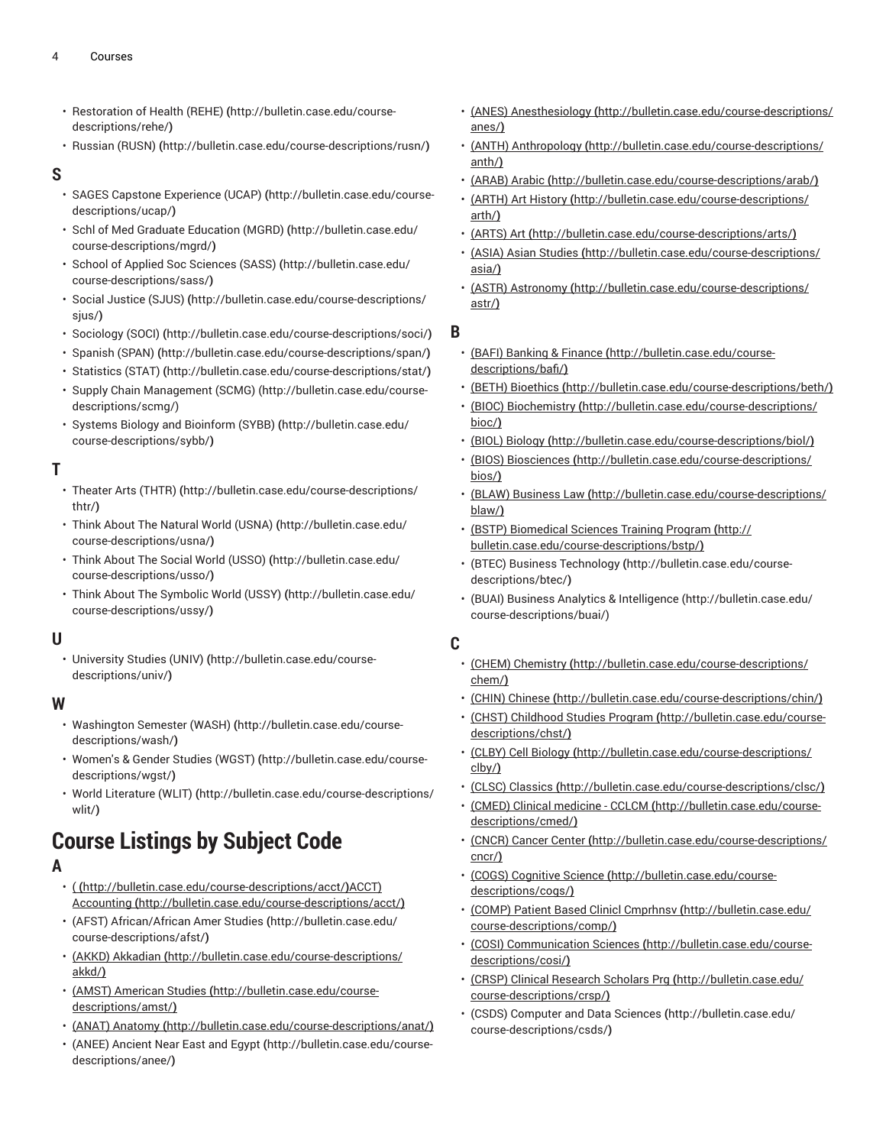- [Restoration of Health \(REHE\)](http://bulletin.case.edu/course-descriptions/rehe/) **(**[http://bulletin.case.edu/course](http://bulletin.case.edu/course-descriptions/rehe/)[descriptions/rehe/](http://bulletin.case.edu/course-descriptions/rehe/)**)**
- [Russian \(RUSN\)](http://bulletin.case.edu/course-descriptions/rusn/) **(**<http://bulletin.case.edu/course-descriptions/rusn/>**)**

#### **S**

- [SAGES Capstone Experience \(UCAP\)](http://bulletin.case.edu/course-descriptions/ucap/) **(**[http://bulletin.case.edu/course](http://bulletin.case.edu/course-descriptions/ucap/)[descriptions/ucap/](http://bulletin.case.edu/course-descriptions/ucap/)**)**
- Schl of Med Graduate [Education](http://bulletin.case.edu/course-descriptions/mgrd/) (MGRD) **(**[http://bulletin.case.edu/](http://bulletin.case.edu/course-descriptions/mgrd/) [course-descriptions/mgrd/](http://bulletin.case.edu/course-descriptions/mgrd/)**)**
- [School of Applied Soc Sciences \(SASS\)](http://bulletin.case.edu/course-descriptions/sass/) **(**[http://bulletin.case.edu/](http://bulletin.case.edu/course-descriptions/sass/) [course-descriptions/sass/](http://bulletin.case.edu/course-descriptions/sass/)**)**
- [Social Justice \(SJUS\)](http://bulletin.case.edu/course-descriptions/sjus/) **(**[http://bulletin.case.edu/course-descriptions/](http://bulletin.case.edu/course-descriptions/sjus/) [sjus/](http://bulletin.case.edu/course-descriptions/sjus/)**)**
- [Sociology \(SOCI\)](http://bulletin.case.edu/course-descriptions/soci/) **(**<http://bulletin.case.edu/course-descriptions/soci/>**)**
- [Spanish](http://bulletin.case.edu/course-descriptions/span/) (SPAN) **(**<http://bulletin.case.edu/course-descriptions/span/>**)**
- [Statistics](http://bulletin.case.edu/course-descriptions/stat/) (STAT) **(**<http://bulletin.case.edu/course-descriptions/stat/>**)**
- [Supply Chain Management \(SCMG\) \(http://bulletin.case.edu/course](http://bulletin.case.edu/course-descriptions/scmg/)[descriptions/scmg/](http://bulletin.case.edu/course-descriptions/scmg/))
- [Systems Biology and Bioinform \(SYBB\)](http://bulletin.case.edu/course-descriptions/sybb/) **(**[http://bulletin.case.edu/](http://bulletin.case.edu/course-descriptions/sybb/) [course-descriptions/sybb/](http://bulletin.case.edu/course-descriptions/sybb/)**)**

### **T**

- [Theater](http://bulletin.case.edu/course-descriptions/thtr/) Arts (THTR) **(**[http://bulletin.case.edu/course-descriptions/](http://bulletin.case.edu/course-descriptions/thtr/) [thtr/](http://bulletin.case.edu/course-descriptions/thtr/)**)**
- Think About The Natural World [\(USNA\)](http://bulletin.case.edu/course-descriptions/usna/) **(**[http://bulletin.case.edu/](http://bulletin.case.edu/course-descriptions/usna/) [course-descriptions/usna/](http://bulletin.case.edu/course-descriptions/usna/)**)**
- Think About The Social World [\(USSO\)](http://bulletin.case.edu/course-descriptions/usso/) **(**[http://bulletin.case.edu/](http://bulletin.case.edu/course-descriptions/usso/) [course-descriptions/usso/](http://bulletin.case.edu/course-descriptions/usso/)**)**
- Think About The [Symbolic](http://bulletin.case.edu/course-descriptions/ussy/) World (USSY) **(**[http://bulletin.case.edu/](http://bulletin.case.edu/course-descriptions/ussy/) [course-descriptions/ussy/](http://bulletin.case.edu/course-descriptions/ussy/)**)**

#### **U**

• [University](http://bulletin.case.edu/course-descriptions/univ/) Studies (UNIV) **(**[http://bulletin.case.edu/course](http://bulletin.case.edu/course-descriptions/univ/)[descriptions/univ/](http://bulletin.case.edu/course-descriptions/univ/)**)**

#### **W**

- [Washington](http://bulletin.case.edu/course-descriptions/wash/) Semester (WASH) **(**[http://bulletin.case.edu/course](http://bulletin.case.edu/course-descriptions/wash/)[descriptions/wash/](http://bulletin.case.edu/course-descriptions/wash/)**)**
- [Women's](http://bulletin.case.edu/course-descriptions/wgst/) & Gender Studies (WGST) **(**[http://bulletin.case.edu/course](http://bulletin.case.edu/course-descriptions/wgst/)[descriptions/wgst/](http://bulletin.case.edu/course-descriptions/wgst/)**)**
- World [Literature](http://bulletin.case.edu/course-descriptions/wlit/) (WLIT) **(**[http://bulletin.case.edu/course-descriptions/](http://bulletin.case.edu/course-descriptions/wlit/) [wlit/](http://bulletin.case.edu/course-descriptions/wlit/)**)**

# **Course Listings by Subject Code**

#### **A**

- [\(](http://bulletin.case.edu/course-descriptions/acct/) **(**<http://bulletin.case.edu/course-descriptions/acct/>**)**[ACCT\)](http://bulletin.case.edu/course-descriptions/acct/) [Accounting](http://bulletin.case.edu/course-descriptions/acct/) **(**<http://bulletin.case.edu/course-descriptions/acct/>**)**
- [\(AFST\) African/African Amer Studies](http://bulletin.case.edu/course-descriptions/afst/) **(**[http://bulletin.case.edu/](http://bulletin.case.edu/course-descriptions/afst/) [course-descriptions/afst/](http://bulletin.case.edu/course-descriptions/afst/)**)**
- [\(AKKD\) Akkadian](http://bulletin.case.edu/course-descriptions/akkd/) **(**[http://bulletin.case.edu/course-descriptions/](http://bulletin.case.edu/course-descriptions/akkd/) [akkd/](http://bulletin.case.edu/course-descriptions/akkd/)**)**
- [\(AMST\) American Studies](http://bulletin.case.edu/course-descriptions/amst/) **(**[http://bulletin.case.edu/course](http://bulletin.case.edu/course-descriptions/amst/)[descriptions/amst/](http://bulletin.case.edu/course-descriptions/amst/)**)**
- (ANAT) [Anatomy](http://bulletin.case.edu/course-descriptions/anat/) **(**<http://bulletin.case.edu/course-descriptions/anat/>**)**
- (ANEE) [Ancient](http://bulletin.case.edu/course-descriptions/anee/) Near East and Egypt **(**[http://bulletin.case.edu/course](http://bulletin.case.edu/course-descriptions/anee/)[descriptions/anee/](http://bulletin.case.edu/course-descriptions/anee/)**)**
- [\(ANES\) Anesthesiology](http://bulletin.case.edu/course-descriptions/anes/) **(**[http://bulletin.case.edu/course-descriptions/](http://bulletin.case.edu/course-descriptions/anes/) [anes/](http://bulletin.case.edu/course-descriptions/anes/)**)**
- (ANTH) [Anthropology](http://bulletin.case.edu/course-descriptions/anth/) **(**[http://bulletin.case.edu/course-descriptions/](http://bulletin.case.edu/course-descriptions/anth/) [anth/](http://bulletin.case.edu/course-descriptions/anth/)**)**
- [\(ARAB\) Arabic](http://bulletin.case.edu/course-descriptions/arab/) **(**<http://bulletin.case.edu/course-descriptions/arab/>**)**
- [\(ARTH\)](http://bulletin.case.edu/course-descriptions/arth/) Art History **(**[http://bulletin.case.edu/course-descriptions/](http://bulletin.case.edu/course-descriptions/arth/) [arth/](http://bulletin.case.edu/course-descriptions/arth/)**)**
- [\(ARTS\)](http://bulletin.case.edu/course-descriptions/arts/) Art **(**<http://bulletin.case.edu/course-descriptions/arts/>**)**
- (ASIA) Asian [Studies](http://bulletin.case.edu/course-descriptions/asia/) **(**[http://bulletin.case.edu/course-descriptions/](http://bulletin.case.edu/course-descriptions/asia/) [asia/](http://bulletin.case.edu/course-descriptions/asia/)**)**
- (ASTR) [Astronomy](http://bulletin.case.edu/course-descriptions/astr/) **(**[http://bulletin.case.edu/course-descriptions/](http://bulletin.case.edu/course-descriptions/astr/) [astr/](http://bulletin.case.edu/course-descriptions/astr/)**)**

#### **B**

- [\(BAFI\) Banking & Finance](http://bulletin.case.edu/course-descriptions/bafi/) **(**[http://bulletin.case.edu/course](http://bulletin.case.edu/course-descriptions/bafi/)[descriptions/bafi/](http://bulletin.case.edu/course-descriptions/bafi/)**)**
- (BETH) [Bioethics](http://bulletin.case.edu/course-descriptions/beth/) **(**<http://bulletin.case.edu/course-descriptions/beth/>**)**
- (BIOC) [Biochemistry](http://bulletin.case.edu/course-descriptions/bioc/) **(**[http://bulletin.case.edu/course-descriptions/](http://bulletin.case.edu/course-descriptions/bioc/) [bioc/](http://bulletin.case.edu/course-descriptions/bioc/)**)**
- [\(BIOL\) Biology](http://bulletin.case.edu/course-descriptions/biol/) **(**<http://bulletin.case.edu/course-descriptions/biol/>**)**
- [\(BIOS\) Biosciences](http://bulletin.case.edu/course-descriptions/bios/) **(**[http://bulletin.case.edu/course-descriptions/](http://bulletin.case.edu/course-descriptions/bios/) [bios/](http://bulletin.case.edu/course-descriptions/bios/)**)**
- (BLAW) [Business](http://bulletin.case.edu/course-descriptions/blaw/) Law **(**[http://bulletin.case.edu/course-descriptions/](http://bulletin.case.edu/course-descriptions/blaw/) [blaw/](http://bulletin.case.edu/course-descriptions/blaw/)**)**
- (BSTP) [Biomedical](http://bulletin.case.edu/course-descriptions/bstp/) Sciences Training Program **(**[http://](http://bulletin.case.edu/course-descriptions/bstp/) [bulletin.case.edu/course-descriptions/bstp/](http://bulletin.case.edu/course-descriptions/bstp/)**)**
- (BTEC) Business [Technology](http://bulletin.case.edu/course-descriptions/btec/) **(**[http://bulletin.case.edu/course](http://bulletin.case.edu/course-descriptions/btec/)[descriptions/btec/](http://bulletin.case.edu/course-descriptions/btec/)**)**
- (BUAI) Business Analytics & [Intelligence](http://bulletin.case.edu/course-descriptions/buai/) [\(http://bulletin.case.edu/](http://bulletin.case.edu/course-descriptions/buai/) [course-descriptions/buai/\)](http://bulletin.case.edu/course-descriptions/buai/)

#### **C**

- (CHEM) [Chemistry](http://bulletin.case.edu/course-descriptions/chem/) **(**[http://bulletin.case.edu/course-descriptions/](http://bulletin.case.edu/course-descriptions/chem/) [chem/](http://bulletin.case.edu/course-descriptions/chem/)**)**
- [\(CHIN\) Chinese](http://bulletin.case.edu/course-descriptions/chin/) **(**<http://bulletin.case.edu/course-descriptions/chin/>**)**
- (CHST) [Childhood](http://bulletin.case.edu/course-descriptions/chst/) Studies Program **(**[http://bulletin.case.edu/course](http://bulletin.case.edu/course-descriptions/chst/)[descriptions/chst/](http://bulletin.case.edu/course-descriptions/chst/)**)**
- (CLBY) Cell [Biology](http://bulletin.case.edu/course-descriptions/clby/) **(**[http://bulletin.case.edu/course-descriptions/](http://bulletin.case.edu/course-descriptions/clby/) [clby/](http://bulletin.case.edu/course-descriptions/clby/)**)**
- (CLSC) [Classics](http://bulletin.case.edu/course-descriptions/clsc/) **(**<http://bulletin.case.edu/course-descriptions/clsc/>**)**
- (CMED) Clinical [medicine](http://bulletin.case.edu/course-descriptions/cmed/) CCLCM **(**[http://bulletin.case.edu/course](http://bulletin.case.edu/course-descriptions/cmed/)[descriptions/cmed/](http://bulletin.case.edu/course-descriptions/cmed/)**)**
- [\(CNCR\) Cancer Center](http://bulletin.case.edu/course-descriptions/cncr/) **(**[http://bulletin.case.edu/course-descriptions/](http://bulletin.case.edu/course-descriptions/cncr/) [cncr/](http://bulletin.case.edu/course-descriptions/cncr/)**)**
- (COGS) [Cognitive](http://bulletin.case.edu/course-descriptions/cogs/) Science **(**[http://bulletin.case.edu/course](http://bulletin.case.edu/course-descriptions/cogs/)[descriptions/cogs/](http://bulletin.case.edu/course-descriptions/cogs/)**)**
- (COMP) Patient Based Clinicl [Cmprhnsv](http://bulletin.case.edu/course-descriptions/comp/) **(**[http://bulletin.case.edu/](http://bulletin.case.edu/course-descriptions/comp/) [course-descriptions/comp/](http://bulletin.case.edu/course-descriptions/comp/)**)**
- [\(COSI\) Communication Sciences](http://bulletin.case.edu/course-descriptions/cosi/) **(**[http://bulletin.case.edu/course](http://bulletin.case.edu/course-descriptions/cosi/)[descriptions/cosi/](http://bulletin.case.edu/course-descriptions/cosi/)**)**
- (CRSP) Clinical [Research](http://bulletin.case.edu/course-descriptions/crsp/) Scholars Prg **(**[http://bulletin.case.edu/](http://bulletin.case.edu/course-descriptions/crsp/) [course-descriptions/crsp/](http://bulletin.case.edu/course-descriptions/crsp/)**)**
- [\(CSDS\) Computer and Data Sciences](http://bulletin.case.edu/course-descriptions/csds/) **(**[http://bulletin.case.edu/](http://bulletin.case.edu/course-descriptions/csds/) [course-descriptions/csds/](http://bulletin.case.edu/course-descriptions/csds/)**)**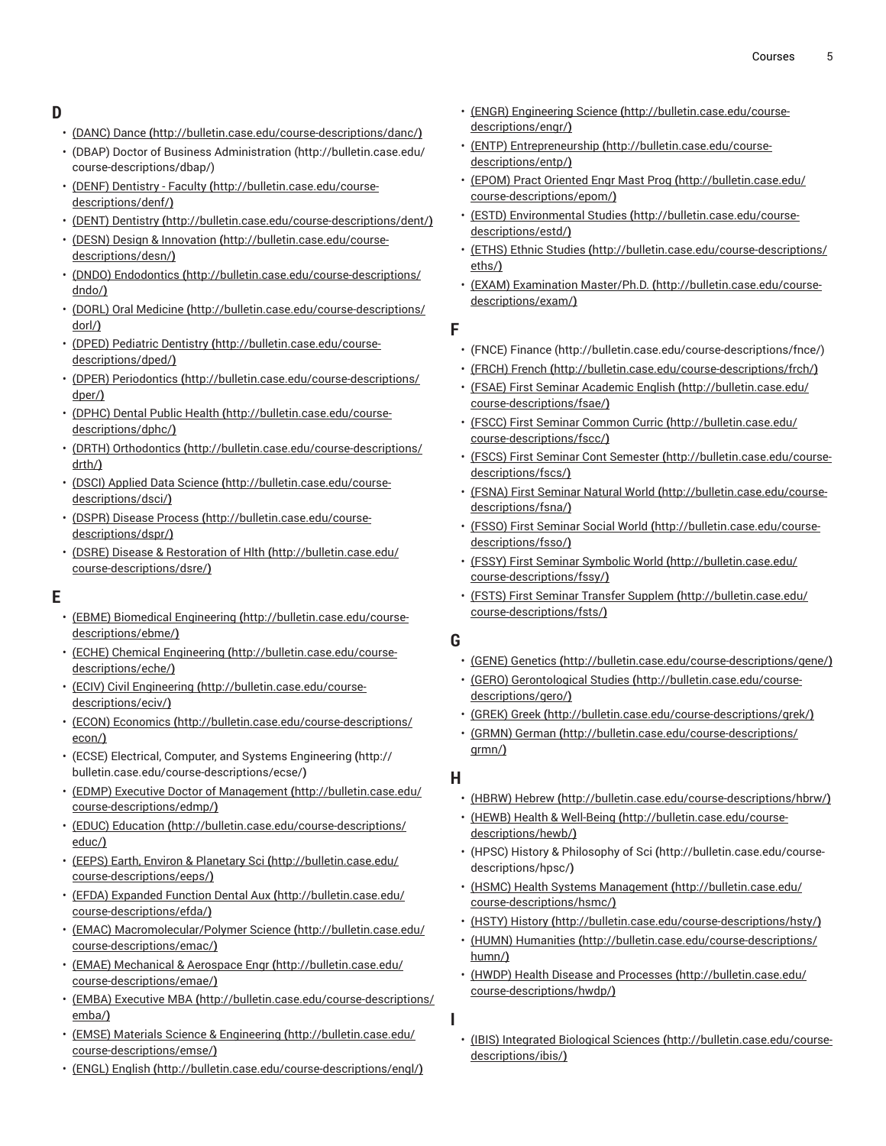# **D**

- [\(DANC\)](http://bulletin.case.edu/course-descriptions/danc/) Dance **(**<http://bulletin.case.edu/course-descriptions/danc/>**)**
- [\(DBAP\) Doctor of Business Administration](http://bulletin.case.edu/course-descriptions/dbap/) [\(http://bulletin.case.edu/](http://bulletin.case.edu/course-descriptions/dbap/) [course-descriptions/dbap/\)](http://bulletin.case.edu/course-descriptions/dbap/)
- (DENF) [Dentistry](http://bulletin.case.edu/course-descriptions/denf/) Faculty **(**[http://bulletin.case.edu/course](http://bulletin.case.edu/course-descriptions/denf/)[descriptions/denf/](http://bulletin.case.edu/course-descriptions/denf/)**)**
- (DENT) [Dentistry](http://bulletin.case.edu/course-descriptions/dent/) **(**<http://bulletin.case.edu/course-descriptions/dent/>**)**
- (DESN) Design & [Innovation](http://bulletin.case.edu/course-descriptions/desn/) **(**[http://bulletin.case.edu/course](http://bulletin.case.edu/course-descriptions/desn/)[descriptions/desn/](http://bulletin.case.edu/course-descriptions/desn/)**)**
- [\(DNDO\) Endodontics](http://bulletin.case.edu/course-descriptions/dndo/) **(**[http://bulletin.case.edu/course-descriptions/](http://bulletin.case.edu/course-descriptions/dndo/) [dndo/](http://bulletin.case.edu/course-descriptions/dndo/)**)**
- [\(DORL\) Oral Medicine](http://bulletin.case.edu/course-descriptions/dorl/) **(**[http://bulletin.case.edu/course-descriptions/](http://bulletin.case.edu/course-descriptions/dorl/) [dorl/](http://bulletin.case.edu/course-descriptions/dorl/)**)**
- (DPED) Pediatric [Dentistry](http://bulletin.case.edu/course-descriptions/dped/) **(**[http://bulletin.case.edu/course](http://bulletin.case.edu/course-descriptions/dped/)[descriptions/dped/](http://bulletin.case.edu/course-descriptions/dped/)**)**
- (DPER) [Periodontics](http://bulletin.case.edu/course-descriptions/dper/) **(**[http://bulletin.case.edu/course-descriptions/](http://bulletin.case.edu/course-descriptions/dper/) [dper/](http://bulletin.case.edu/course-descriptions/dper/)**)**
- [\(DPHC\)](http://bulletin.case.edu/course-descriptions/dphc/) Dental Public Health **(**[http://bulletin.case.edu/course](http://bulletin.case.edu/course-descriptions/dphc/)[descriptions/dphc/](http://bulletin.case.edu/course-descriptions/dphc/)**)**
- (DRTH) [Orthodontics](http://bulletin.case.edu/course-descriptions/drth/) **(**[http://bulletin.case.edu/course-descriptions/](http://bulletin.case.edu/course-descriptions/drth/) [drth/](http://bulletin.case.edu/course-descriptions/drth/)**)**
- [\(DSCI\) Applied Data Science](http://bulletin.case.edu/course-descriptions/dsci/) **(**[http://bulletin.case.edu/course](http://bulletin.case.edu/course-descriptions/dsci/)[descriptions/dsci/](http://bulletin.case.edu/course-descriptions/dsci/)**)**
- (DSPR) Disease [Process](http://bulletin.case.edu/course-descriptions/dspr/) **(**[http://bulletin.case.edu/course](http://bulletin.case.edu/course-descriptions/dspr/)[descriptions/dspr/](http://bulletin.case.edu/course-descriptions/dspr/)**)**
- [\(DSRE\) Disease & Restoration of Hlth](http://bulletin.case.edu/course-descriptions/dsre/) **(**[http://bulletin.case.edu/](http://bulletin.case.edu/course-descriptions/dsre/) [course-descriptions/dsre/](http://bulletin.case.edu/course-descriptions/dsre/)**)**

#### **E**

- [\(EBME\) Biomedical Engineering](http://bulletin.case.edu/course-descriptions/ebme/) **(**[http://bulletin.case.edu/course](http://bulletin.case.edu/course-descriptions/ebme/)[descriptions/ebme/](http://bulletin.case.edu/course-descriptions/ebme/)**)**
- [\(ECHE\) Chemical Engineering](http://bulletin.case.edu/course-descriptions/eche/) **(**[http://bulletin.case.edu/course](http://bulletin.case.edu/course-descriptions/eche/)[descriptions/eche/](http://bulletin.case.edu/course-descriptions/eche/)**)**
- (ECIV) Civil [Engineering](http://bulletin.case.edu/course-descriptions/eciv/) **(**[http://bulletin.case.edu/course](http://bulletin.case.edu/course-descriptions/eciv/)[descriptions/eciv/](http://bulletin.case.edu/course-descriptions/eciv/)**)**
- (ECON) [Economics](http://bulletin.case.edu/course-descriptions/econ/) **(**[http://bulletin.case.edu/course-descriptions/](http://bulletin.case.edu/course-descriptions/econ/) [econ/](http://bulletin.case.edu/course-descriptions/econ/)**)**
- (ECSE) Electrical, Computer, and Systems [Engineering](http://bulletin.case.edu/course-descriptions/ecse/) **(**[http://](http://bulletin.case.edu/course-descriptions/ecse/) [bulletin.case.edu/course-descriptions/ecse/](http://bulletin.case.edu/course-descriptions/ecse/)**)**
- (EDMP) Executive Doctor of [Management](http://bulletin.case.edu/course-descriptions/edmp/) **(**[http://bulletin.case.edu/](http://bulletin.case.edu/course-descriptions/edmp/) [course-descriptions/edmp/](http://bulletin.case.edu/course-descriptions/edmp/)**)**
- (EDUC) [Education](http://bulletin.case.edu/course-descriptions/educ/) **(**[http://bulletin.case.edu/course-descriptions/](http://bulletin.case.edu/course-descriptions/educ/) [educ/](http://bulletin.case.edu/course-descriptions/educ/)**)**
- (EEPS) Earth, Environ & [Planetary](http://bulletin.case.edu/course-descriptions/eeps/) Sci **(**[http://bulletin.case.edu/](http://bulletin.case.edu/course-descriptions/eeps/) [course-descriptions/eeps/](http://bulletin.case.edu/course-descriptions/eeps/)**)**
- (EFDA) [Expanded](http://bulletin.case.edu/course-descriptions/efda/) Function Dental Aux **(**[http://bulletin.case.edu/](http://bulletin.case.edu/course-descriptions/efda/) [course-descriptions/efda/](http://bulletin.case.edu/course-descriptions/efda/)**)**
- (EMAC) [Macromolecular/Polymer](http://bulletin.case.edu/course-descriptions/emac/) Science **(**[http://bulletin.case.edu/](http://bulletin.case.edu/course-descriptions/emac/) [course-descriptions/emac/](http://bulletin.case.edu/course-descriptions/emac/)**)**
- (EMAE) [Mechanical](http://bulletin.case.edu/course-descriptions/emae/) & Aerospace Engr **(**[http://bulletin.case.edu/](http://bulletin.case.edu/course-descriptions/emae/) [course-descriptions/emae/](http://bulletin.case.edu/course-descriptions/emae/)**)**
- (EMBA) [Executive](http://bulletin.case.edu/course-descriptions/emba/) MBA **(**[http://bulletin.case.edu/course-descriptions/](http://bulletin.case.edu/course-descriptions/emba/) [emba/](http://bulletin.case.edu/course-descriptions/emba/)**)**
- [\(EMSE\) Materials Science & Engineering](http://bulletin.case.edu/course-descriptions/emse/) **(**[http://bulletin.case.edu/](http://bulletin.case.edu/course-descriptions/emse/) [course-descriptions/emse/](http://bulletin.case.edu/course-descriptions/emse/)**)**
- [\(ENGL\) English](http://bulletin.case.edu/course-descriptions/engl/) **(**<http://bulletin.case.edu/course-descriptions/engl/>**)**
- [\(ENGR\) Engineering Science](http://bulletin.case.edu/course-descriptions/engr/) **(**[http://bulletin.case.edu/course](http://bulletin.case.edu/course-descriptions/engr/)[descriptions/engr/](http://bulletin.case.edu/course-descriptions/engr/)**)**
- (ENTP) [Entrepreneurship](http://bulletin.case.edu/course-descriptions/entp/) **(**[http://bulletin.case.edu/course](http://bulletin.case.edu/course-descriptions/entp/)[descriptions/entp/](http://bulletin.case.edu/course-descriptions/entp/)**)**
- (EPOM) Pract [Oriented](http://bulletin.case.edu/course-descriptions/epom/) Engr Mast Prog **(**[http://bulletin.case.edu/](http://bulletin.case.edu/course-descriptions/epom/) [course-descriptions/epom/](http://bulletin.case.edu/course-descriptions/epom/)**)**
- (ESTD) [Environmental](http://bulletin.case.edu/course-descriptions/estd/) Studies **(**[http://bulletin.case.edu/course](http://bulletin.case.edu/course-descriptions/estd/)[descriptions/estd/](http://bulletin.case.edu/course-descriptions/estd/)**)**
- (ETHS) Ethnic [Studies](http://bulletin.case.edu/course-descriptions/eths/) **(**[http://bulletin.case.edu/course-descriptions/](http://bulletin.case.edu/course-descriptions/eths/) [eths/](http://bulletin.case.edu/course-descriptions/eths/)**)**
- (EXAM) Examination [Master/Ph.D.](http://bulletin.case.edu/course-descriptions/exam/) **(**[http://bulletin.case.edu/course](http://bulletin.case.edu/course-descriptions/exam/)[descriptions/exam/](http://bulletin.case.edu/course-descriptions/exam/)**)**

#### **F**

- [\(FNCE\) Finance](http://bulletin.case.edu/course-descriptions/fnce/) [\(http://bulletin.case.edu/course-descriptions/fnce/](http://bulletin.case.edu/course-descriptions/fnce/))
- [\(FRCH\)](http://bulletin.case.edu/course-descriptions/frch/) French **(**<http://bulletin.case.edu/course-descriptions/frch/>**)**
- [\(FSAE\) First Seminar Academic English](http://bulletin.case.edu/course-descriptions/fsae/) **(**[http://bulletin.case.edu/](http://bulletin.case.edu/course-descriptions/fsae/) [course-descriptions/fsae/](http://bulletin.case.edu/course-descriptions/fsae/)**)**
- (FSCC) First Seminar [Common](http://bulletin.case.edu/course-descriptions/fscc/) Curric **(**[http://bulletin.case.edu/](http://bulletin.case.edu/course-descriptions/fscc/) [course-descriptions/fscc/](http://bulletin.case.edu/course-descriptions/fscc/)**)**
- [\(FSCS\) First Seminar Cont Semester](http://bulletin.case.edu/course-descriptions/fscs/) **(**[http://bulletin.case.edu/course](http://bulletin.case.edu/course-descriptions/fscs/)[descriptions/fscs/](http://bulletin.case.edu/course-descriptions/fscs/)**)**
- (FSNA) First [Seminar](http://bulletin.case.edu/course-descriptions/fsna/) Natural World **(**[http://bulletin.case.edu/course](http://bulletin.case.edu/course-descriptions/fsna/)[descriptions/fsna/](http://bulletin.case.edu/course-descriptions/fsna/)**)**
- (FSSO) First [Seminar](http://bulletin.case.edu/course-descriptions/fsso/) Social World **(**[http://bulletin.case.edu/course](http://bulletin.case.edu/course-descriptions/fsso/)[descriptions/fsso/](http://bulletin.case.edu/course-descriptions/fsso/)**)**
- (FSSY) First Seminar [Symbolic](http://bulletin.case.edu/course-descriptions/fssy/) World **(**[http://bulletin.case.edu/](http://bulletin.case.edu/course-descriptions/fssy/) [course-descriptions/fssy/](http://bulletin.case.edu/course-descriptions/fssy/)**)**
- (FSTS) First Seminar Transfer [Supplem](http://bulletin.case.edu/course-descriptions/fsts/) **(**[http://bulletin.case.edu/](http://bulletin.case.edu/course-descriptions/fsts/) [course-descriptions/fsts/](http://bulletin.case.edu/course-descriptions/fsts/)**)**

# **G**

- [\(GENE\) Genetics](http://bulletin.case.edu/course-descriptions/gene/) **(**<http://bulletin.case.edu/course-descriptions/gene/>**)**
- (GERO) [Gerontological](http://bulletin.case.edu/course-descriptions/gero/) Studies **(**[http://bulletin.case.edu/course](http://bulletin.case.edu/course-descriptions/gero/)[descriptions/gero/](http://bulletin.case.edu/course-descriptions/gero/)**)**
- [\(GREK\)](http://bulletin.case.edu/course-descriptions/grek/) Greek **(**<http://bulletin.case.edu/course-descriptions/grek/>**)**
- [\(GRMN\) German](http://bulletin.case.edu/course-descriptions/grmn/) **(**[http://bulletin.case.edu/course-descriptions/](http://bulletin.case.edu/course-descriptions/grmn/) [grmn/](http://bulletin.case.edu/course-descriptions/grmn/)**)**

# **H**

- [\(HBRW\)](http://bulletin.case.edu/course-descriptions/hbrw/) Hebrew **(**<http://bulletin.case.edu/course-descriptions/hbrw/>**)**
- (HEWB) Health & [Well-Being](http://bulletin.case.edu/course-descriptions/hewb/) **(**[http://bulletin.case.edu/course](http://bulletin.case.edu/course-descriptions/hewb/)[descriptions/hewb/](http://bulletin.case.edu/course-descriptions/hewb/)**)**
- (HPSC) History & [Philosophy](http://bulletin.case.edu/course-descriptions/hpsc/) of Sci **(**[http://bulletin.case.edu/course](http://bulletin.case.edu/course-descriptions/hpsc/)[descriptions/hpsc/](http://bulletin.case.edu/course-descriptions/hpsc/)**)**
- (HSMC) Health Systems [Management](http://bulletin.case.edu/course-descriptions/hsmc/) **(**[http://bulletin.case.edu/](http://bulletin.case.edu/course-descriptions/hsmc/) [course-descriptions/hsmc/](http://bulletin.case.edu/course-descriptions/hsmc/)**)**
- (HSTY) [History](http://bulletin.case.edu/course-descriptions/hsty/) **(**<http://bulletin.case.edu/course-descriptions/hsty/>**)**
- [\(HUMN\) Humanities](http://bulletin.case.edu/course-descriptions/humn/) **(**[http://bulletin.case.edu/course-descriptions/](http://bulletin.case.edu/course-descriptions/humn/) [humn/](http://bulletin.case.edu/course-descriptions/humn/)**)**
- (HWDP) Health Disease and [Processes](http://bulletin.case.edu/course-descriptions/hwdp/) **(**[http://bulletin.case.edu/](http://bulletin.case.edu/course-descriptions/hwdp/) [course-descriptions/hwdp/](http://bulletin.case.edu/course-descriptions/hwdp/)**)**

**I**

• [\(IBIS\) Integrated Biological Sciences](http://bulletin.case.edu/course-descriptions/ibis/) **(**[http://bulletin.case.edu/course](http://bulletin.case.edu/course-descriptions/ibis/)[descriptions/ibis/](http://bulletin.case.edu/course-descriptions/ibis/)**)**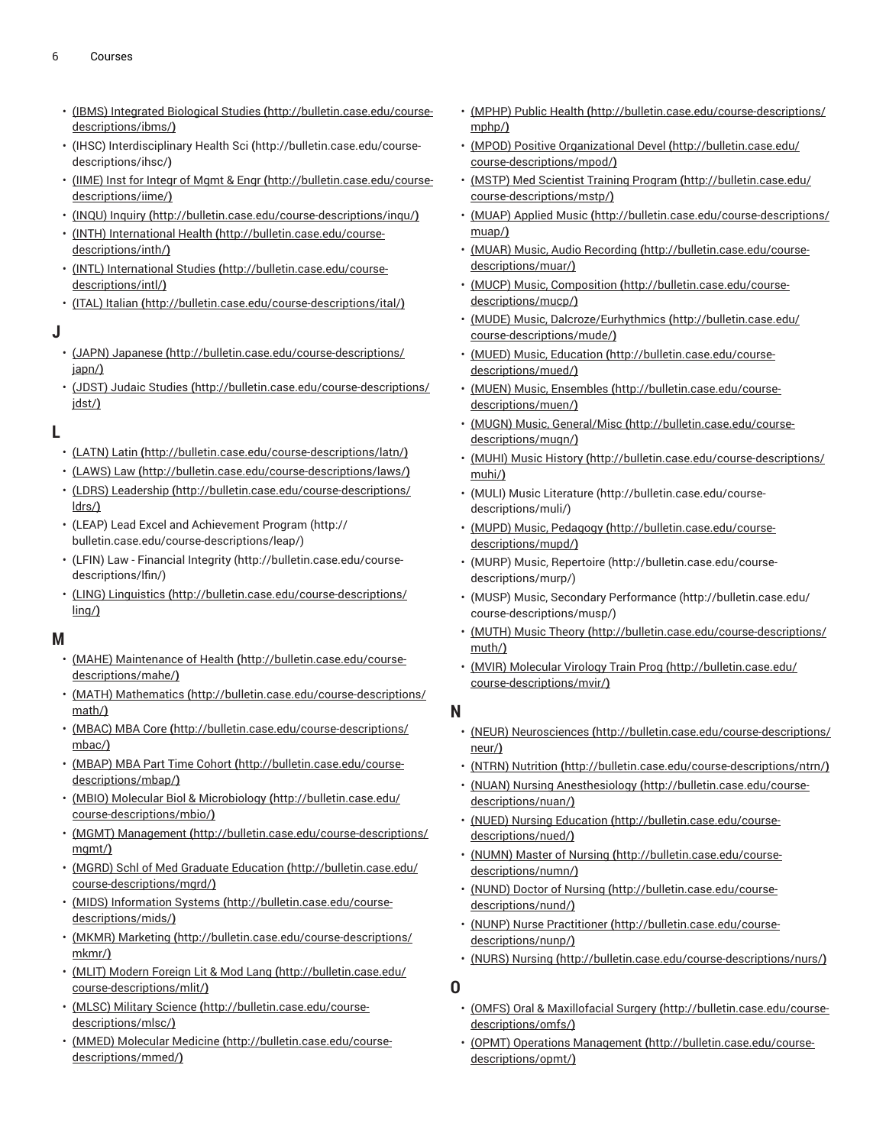- [\(IBMS\) Integrated Biological Studies](http://bulletin.case.edu/course-descriptions/ibms/) **(**[http://bulletin.case.edu/course](http://bulletin.case.edu/course-descriptions/ibms/)[descriptions/ibms/](http://bulletin.case.edu/course-descriptions/ibms/)**)**
- (IHSC) [Interdisciplinary](http://bulletin.case.edu/course-descriptions/ihsc/) Health Sci **(**[http://bulletin.case.edu/course](http://bulletin.case.edu/course-descriptions/ihsc/)[descriptions/ihsc/](http://bulletin.case.edu/course-descriptions/ihsc/)**)**
- [\(IIME\) Inst for Integr of Mgmt & Engr](http://bulletin.case.edu/course-descriptions/iime/) **(**[http://bulletin.case.edu/course](http://bulletin.case.edu/course-descriptions/iime/)[descriptions/iime/](http://bulletin.case.edu/course-descriptions/iime/)**)**
- (INQU) [Inquiry](http://bulletin.case.edu/course-descriptions/inqu/) **(**<http://bulletin.case.edu/course-descriptions/inqu/>**)**
- (INTH) [International](http://bulletin.case.edu/course-descriptions/inth/) Health **(**[http://bulletin.case.edu/course](http://bulletin.case.edu/course-descriptions/inth/)[descriptions/inth/](http://bulletin.case.edu/course-descriptions/inth/)**)**
- (INTL) [International](http://bulletin.case.edu/course-descriptions/intl/) Studies **(**[http://bulletin.case.edu/course](http://bulletin.case.edu/course-descriptions/intl/)[descriptions/intl/](http://bulletin.case.edu/course-descriptions/intl/)**)**
- (ITAL) [Italian](http://bulletin.case.edu/course-descriptions/ital/) **(**<http://bulletin.case.edu/course-descriptions/ital/>**)**

#### **J**

- (JAPN) [Japanese](http://bulletin.case.edu/course-descriptions/japn/) **(**[http://bulletin.case.edu/course-descriptions/](http://bulletin.case.edu/course-descriptions/japn/) [japn/](http://bulletin.case.edu/course-descriptions/japn/)**)**
- [\(JDST\) Judaic Studies](http://bulletin.case.edu/course-descriptions/jdst/) **(**[http://bulletin.case.edu/course-descriptions/](http://bulletin.case.edu/course-descriptions/jdst/) [jdst/](http://bulletin.case.edu/course-descriptions/jdst/)**)**

#### **L**

- [\(LATN\)](http://bulletin.case.edu/course-descriptions/latn/) Latin **(**<http://bulletin.case.edu/course-descriptions/latn/>**)**
- [\(LAWS\)](http://bulletin.case.edu/course-descriptions/laws/) Law **(**<http://bulletin.case.edu/course-descriptions/laws/>**)**
- [\(LDRS\) Leadership](http://bulletin.case.edu/course-descriptions/ldrs/) **(**[http://bulletin.case.edu/course-descriptions/](http://bulletin.case.edu/course-descriptions/ldrs/) [ldrs/](http://bulletin.case.edu/course-descriptions/ldrs/)**)**
- (LEAP) Lead Excel and [Achievement](http://bulletin.case.edu/course-descriptions/leap/) Program [\(http://](http://bulletin.case.edu/course-descriptions/leap/) [bulletin.case.edu/course-descriptions/leap/\)](http://bulletin.case.edu/course-descriptions/leap/)
- [\(LFIN\) Law Financial Integrity \(http://bulletin.case.edu/course](http://bulletin.case.edu/course-descriptions/lfin/)[descriptions/lfin/](http://bulletin.case.edu/course-descriptions/lfin/))
- [\(LING\) Linguistics](http://bulletin.case.edu/course-descriptions/ling/) **(**[http://bulletin.case.edu/course-descriptions/](http://bulletin.case.edu/course-descriptions/ling/) [ling/](http://bulletin.case.edu/course-descriptions/ling/)**)**

#### **M**

- (MAHE) [Maintenance](http://bulletin.case.edu/course-descriptions/mahe/) of Health **(**[http://bulletin.case.edu/course](http://bulletin.case.edu/course-descriptions/mahe/)[descriptions/mahe/](http://bulletin.case.edu/course-descriptions/mahe/)**)**
- (MATH) [Mathematics](http://bulletin.case.edu/course-descriptions/math/) **(**[http://bulletin.case.edu/course-descriptions/](http://bulletin.case.edu/course-descriptions/math/) [math/](http://bulletin.case.edu/course-descriptions/math/)**)**
- [\(MBAC\)](http://bulletin.case.edu/course-descriptions/mbac/) MBA Core **(**[http://bulletin.case.edu/course-descriptions/](http://bulletin.case.edu/course-descriptions/mbac/) [mbac/](http://bulletin.case.edu/course-descriptions/mbac/)**)**
- [\(MBAP\)](http://bulletin.case.edu/course-descriptions/mbap/) MBA Part Time Cohort **(**[http://bulletin.case.edu/course](http://bulletin.case.edu/course-descriptions/mbap/)[descriptions/mbap/](http://bulletin.case.edu/course-descriptions/mbap/)**)**
- (MBIO) Molecular Biol & [Microbiology](http://bulletin.case.edu/course-descriptions/mbio/) **(**[http://bulletin.case.edu/](http://bulletin.case.edu/course-descriptions/mbio/) [course-descriptions/mbio/](http://bulletin.case.edu/course-descriptions/mbio/)**)**
- (MGMT) [Management](http://bulletin.case.edu/course-descriptions/mgmt/) **(**[http://bulletin.case.edu/course-descriptions/](http://bulletin.case.edu/course-descriptions/mgmt/) [mgmt/](http://bulletin.case.edu/course-descriptions/mgmt/)**)**
- (MGRD) Schl of Med Graduate [Education](http://bulletin.case.edu/course-descriptions/mgrd/) **(**[http://bulletin.case.edu/](http://bulletin.case.edu/course-descriptions/mgrd/) [course-descriptions/mgrd/](http://bulletin.case.edu/course-descriptions/mgrd/)**)**
- [\(MIDS\) Information Systems](http://bulletin.case.edu/course-descriptions/mids/) **(**[http://bulletin.case.edu/course](http://bulletin.case.edu/course-descriptions/mids/)[descriptions/mids/](http://bulletin.case.edu/course-descriptions/mids/)**)**
- (MKMR) [Marketing](http://bulletin.case.edu/course-descriptions/mkmr/) **(**[http://bulletin.case.edu/course-descriptions/](http://bulletin.case.edu/course-descriptions/mkmr/) [mkmr/](http://bulletin.case.edu/course-descriptions/mkmr/)**)**
- (MLIT) [Modern](http://bulletin.case.edu/course-descriptions/mlit/) Foreign Lit & Mod Lang **(**[http://bulletin.case.edu/](http://bulletin.case.edu/course-descriptions/mlit/) [course-descriptions/mlit/](http://bulletin.case.edu/course-descriptions/mlit/)**)**
- (MLSC) Military [Science](http://bulletin.case.edu/course-descriptions/mlsc/) **(**[http://bulletin.case.edu/course](http://bulletin.case.edu/course-descriptions/mlsc/)[descriptions/mlsc/](http://bulletin.case.edu/course-descriptions/mlsc/)**)**
- [\(MMED\) Molecular Medicine](http://bulletin.case.edu/course-descriptions/mmed/) **(**[http://bulletin.case.edu/course](http://bulletin.case.edu/course-descriptions/mmed/)[descriptions/mmed/](http://bulletin.case.edu/course-descriptions/mmed/)**)**
- [\(MPHP\) Public Health](http://bulletin.case.edu/course-descriptions/mphp/) **(**[http://bulletin.case.edu/course-descriptions/](http://bulletin.case.edu/course-descriptions/mphp/) [mphp/](http://bulletin.case.edu/course-descriptions/mphp/)**)**
- (MPOD) Positive [Organizational](http://bulletin.case.edu/course-descriptions/mpod/) Devel **(**[http://bulletin.case.edu/](http://bulletin.case.edu/course-descriptions/mpod/) [course-descriptions/mpod/](http://bulletin.case.edu/course-descriptions/mpod/)**)**
- (MSTP) Med [Scientist](http://bulletin.case.edu/course-descriptions/mstp/) Training Program **(**[http://bulletin.case.edu/](http://bulletin.case.edu/course-descriptions/mstp/) [course-descriptions/mstp/](http://bulletin.case.edu/course-descriptions/mstp/)**)**
- [\(MUAP\)](http://bulletin.case.edu/course-descriptions/muap/) Applied Music **(**[http://bulletin.case.edu/course-descriptions/](http://bulletin.case.edu/course-descriptions/muap/) [muap/](http://bulletin.case.edu/course-descriptions/muap/)**)**
- (MUAR) Music, Audio [Recording](http://bulletin.case.edu/course-descriptions/muar/) **(**[http://bulletin.case.edu/course](http://bulletin.case.edu/course-descriptions/muar/)[descriptions/muar/](http://bulletin.case.edu/course-descriptions/muar/)**)**
- [\(MUCP\) Music, Composition](http://bulletin.case.edu/course-descriptions/mucp/) **(**[http://bulletin.case.edu/course](http://bulletin.case.edu/course-descriptions/mucp/)[descriptions/mucp/](http://bulletin.case.edu/course-descriptions/mucp/)**)**
- (MUDE) Music, [Dalcroze/Eurhythmics](http://bulletin.case.edu/course-descriptions/mude/) **(**[http://bulletin.case.edu/](http://bulletin.case.edu/course-descriptions/mude/) [course-descriptions/mude/](http://bulletin.case.edu/course-descriptions/mude/)**)**
- (MUED) Music, [Education](http://bulletin.case.edu/course-descriptions/mued/) **(**[http://bulletin.case.edu/course](http://bulletin.case.edu/course-descriptions/mued/)[descriptions/mued/](http://bulletin.case.edu/course-descriptions/mued/)**)**
- [\(MUEN\) Music, Ensembles](http://bulletin.case.edu/course-descriptions/muen/) **(**[http://bulletin.case.edu/course](http://bulletin.case.edu/course-descriptions/muen/)[descriptions/muen/](http://bulletin.case.edu/course-descriptions/muen/)**)**
- [\(MUGN\) Music, General/Misc](http://bulletin.case.edu/course-descriptions/mugn/) **(**[http://bulletin.case.edu/course](http://bulletin.case.edu/course-descriptions/mugn/)[descriptions/mugn/](http://bulletin.case.edu/course-descriptions/mugn/)**)**
- (MUHI) Music [History](http://bulletin.case.edu/course-descriptions/muhi/) **(**[http://bulletin.case.edu/course-descriptions/](http://bulletin.case.edu/course-descriptions/muhi/) [muhi/](http://bulletin.case.edu/course-descriptions/muhi/)**)**
- (MULI) Music [Literature](http://bulletin.case.edu/course-descriptions/muli/) ([http://bulletin.case.edu/course](http://bulletin.case.edu/course-descriptions/muli/)[descriptions/muli/](http://bulletin.case.edu/course-descriptions/muli/))
- (MUPD) Music, [Pedagogy](http://bulletin.case.edu/course-descriptions/mupd/) **(**[http://bulletin.case.edu/course](http://bulletin.case.edu/course-descriptions/mupd/)[descriptions/mupd/](http://bulletin.case.edu/course-descriptions/mupd/)**)**
- (MURP) Music, [Repertoire](http://bulletin.case.edu/course-descriptions/murp/) [\(http://bulletin.case.edu/course](http://bulletin.case.edu/course-descriptions/murp/)[descriptions/murp/](http://bulletin.case.edu/course-descriptions/murp/))
- (MUSP) Music, Secondary [Performance \(http://bulletin.case.edu/](http://bulletin.case.edu/course-descriptions/musp/) [course-descriptions/musp/](http://bulletin.case.edu/course-descriptions/musp/))
- [\(MUTH\)](http://bulletin.case.edu/course-descriptions/muth/) Music Theory **(**[http://bulletin.case.edu/course-descriptions/](http://bulletin.case.edu/course-descriptions/muth/) [muth/](http://bulletin.case.edu/course-descriptions/muth/)**)**
- (MVIR) [Molecular](http://bulletin.case.edu/course-descriptions/mvir/) Virology Train Prog **(**[http://bulletin.case.edu/](http://bulletin.case.edu/course-descriptions/mvir/) [course-descriptions/mvir/](http://bulletin.case.edu/course-descriptions/mvir/)**)**

#### **N**

- (NEUR) [Neurosciences](http://bulletin.case.edu/course-descriptions/neur/) **(**[http://bulletin.case.edu/course-descriptions/](http://bulletin.case.edu/course-descriptions/neur/) [neur/](http://bulletin.case.edu/course-descriptions/neur/)**)**
- (NTRN) [Nutrition](http://bulletin.case.edu/course-descriptions/ntrn/) **(**<http://bulletin.case.edu/course-descriptions/ntrn/>**)**
- (NUAN) Nursing [Anesthesiology](http://bulletin.case.edu/course-descriptions/nuan/) **(**[http://bulletin.case.edu/course](http://bulletin.case.edu/course-descriptions/nuan/)[descriptions/nuan/](http://bulletin.case.edu/course-descriptions/nuan/)**)**
- (NUED) Nursing [Education](http://bulletin.case.edu/course-descriptions/nued/) **(**[http://bulletin.case.edu/course](http://bulletin.case.edu/course-descriptions/nued/)[descriptions/nued/](http://bulletin.case.edu/course-descriptions/nued/)**)**
- [\(NUMN\) Master of Nursing](http://bulletin.case.edu/course-descriptions/numn/) **(**[http://bulletin.case.edu/course](http://bulletin.case.edu/course-descriptions/numn/)[descriptions/numn/](http://bulletin.case.edu/course-descriptions/numn/)**)**
- [\(NUND\) Doctor of Nursing](http://bulletin.case.edu/course-descriptions/nund/) **(**[http://bulletin.case.edu/course](http://bulletin.case.edu/course-descriptions/nund/)[descriptions/nund/](http://bulletin.case.edu/course-descriptions/nund/)**)**
- [\(NUNP\) Nurse Practitioner](http://bulletin.case.edu/course-descriptions/nunp/) **(**[http://bulletin.case.edu/course](http://bulletin.case.edu/course-descriptions/nunp/)[descriptions/nunp/](http://bulletin.case.edu/course-descriptions/nunp/)**)**
- [\(NURS\) Nursing](http://bulletin.case.edu/course-descriptions/nurs/) **(**<http://bulletin.case.edu/course-descriptions/nurs/>**)**

# **O**

- (OMFS) Oral & [Maxillofacial](http://bulletin.case.edu/course-descriptions/omfs/) Surgery **(**[http://bulletin.case.edu/course](http://bulletin.case.edu/course-descriptions/omfs/)[descriptions/omfs/](http://bulletin.case.edu/course-descriptions/omfs/)**)**
- (OPMT) Operations [Management](http://bulletin.case.edu/course-descriptions/opmt/) **(**[http://bulletin.case.edu/course](http://bulletin.case.edu/course-descriptions/opmt/)[descriptions/opmt/](http://bulletin.case.edu/course-descriptions/opmt/)**)**